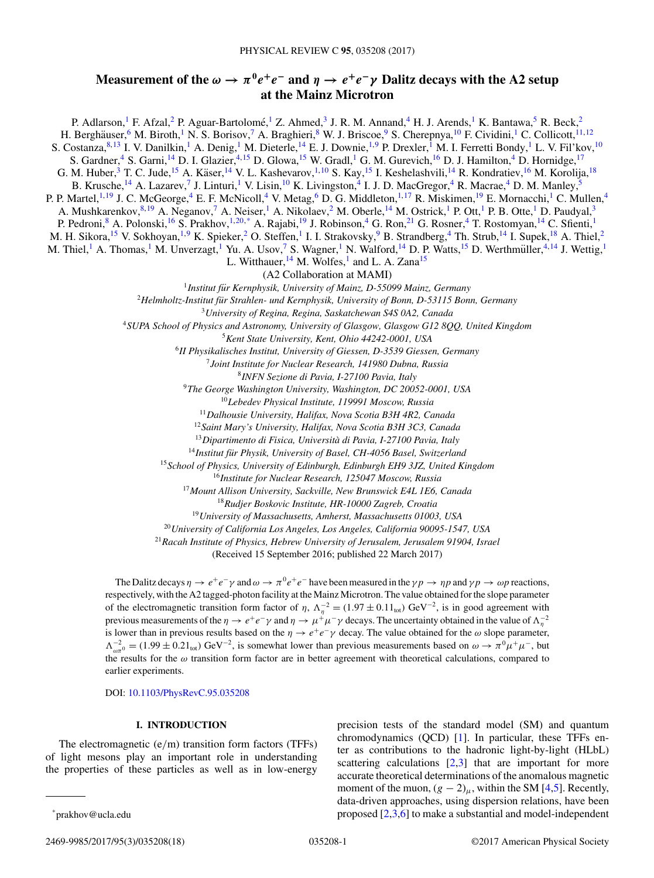# **Measurement of the**  $\omega \to \pi^0 e^+ e^-$  and  $\eta \to e^+ e^- \gamma$  Dalitz decays with the A2 setup **at the Mainz Microtron**

P. Adlarson,<sup>1</sup> F. Afzal,<sup>2</sup> P. Aguar-Bartolomé,<sup>1</sup> Z. Ahmed,<sup>3</sup> J. R. M. Annand,<sup>4</sup> H. J. Arends,<sup>1</sup> K. Bantawa,<sup>5</sup> R. Beck,<sup>2</sup> H. Berghäuser, <sup>6</sup> M. Biroth, <sup>1</sup> N. S. Borisov, <sup>7</sup> A. Braghieri, <sup>8</sup> W. J. Briscoe, <sup>9</sup> S. Cherepnya, <sup>10</sup> F. Cividini, <sup>1</sup> C. Collicott, <sup>11, 12</sup> S. Costanza, 8,13 I. V. Danilkin, <sup>1</sup> A. Denig, <sup>1</sup> M. Dieterle, <sup>14</sup> E. J. Downie, <sup>1,9</sup> P. Drexler, <sup>1</sup> M. I. Ferretti Bondy, <sup>1</sup> L. V. Fil'kov, <sup>10</sup> S. Gardner,<sup>4</sup> S. Garni,<sup>14</sup> D. I. Glazier,<sup>4,15</sup> D. Glowa,<sup>15</sup> W. Gradl,<sup>1</sup> G. M. Gurevich,<sup>16</sup> D. J. Hamilton,<sup>4</sup> D. Hornidge,<sup>17</sup> G. M. Huber,<sup>3</sup> T. C. Jude,<sup>15</sup> A. Käser,<sup>14</sup> V. L. Kashevarov,<sup>1,10</sup> S. Kay,<sup>15</sup> I. Keshelashvili,<sup>14</sup> R. Kondratiev,<sup>16</sup> M. Korolija,<sup>18</sup> B. Krusche,<sup>14</sup> A. Lazarev,<sup>7</sup> J. Linturi,<sup>1</sup> V. Lisin,<sup>10</sup> K. Livingston,<sup>4</sup> I. J. D. MacGregor,<sup>4</sup> R. Macrae,<sup>4</sup> D. M. Manley,<sup>5</sup> P. P. Martel,<sup>1,19</sup> J. C. McGeorge,<sup>4</sup> E. F. McNicoll,<sup>4</sup> V. Metag,<sup>6</sup> D. G. Middleton,<sup>1,17</sup> R. Miskimen,<sup>19</sup> E. Mornacchi,<sup>1</sup> C. Mullen,<sup>4</sup> A. Mushkarenkov, 8,19 A. Neganov, 7 A. Neiser, <sup>1</sup> A. Nikolaev, <sup>2</sup> M. Oberle, <sup>14</sup> M. Ostrick, <sup>1</sup> P. Ott, <sup>1</sup> P. B. Otte, <sup>1</sup> D. Paudyal, <sup>3</sup> P. Pedroni, <sup>8</sup> A. Polonski, <sup>16</sup> S. Prakhov, <sup>1, 20,\*</sup> A. Rajabi, <sup>19</sup> J. Robinson, <sup>4</sup> G. Ron, <sup>21</sup> G. Rosner, <sup>4</sup> T. Rostomyan, <sup>14</sup> C. Sfienti, <sup>1</sup> M. H. Sikora,<sup>15</sup> V. Sokhoyan,<sup>1,9</sup> K. Spieker,<sup>2</sup> O. Steffen,<sup>1</sup> I. I. Strakovsky,<sup>9</sup> B. Strandberg,<sup>4</sup> Th. Strub,<sup>14</sup> I. Supek,<sup>18</sup> A. Thiel,<sup>2</sup> M. Thiel,<sup>1</sup> A. Thomas,<sup>1</sup> M. Unverzagt,<sup>1</sup> Yu. A. Usov,<sup>7</sup> S. Wagner,<sup>1</sup> N. Walford,<sup>14</sup> D. P. Watts,<sup>15</sup> D. Werthmüller,<sup>4,14</sup> J. Wettig,<sup>1</sup> L. Witthauer,  $^{14}$  M. Wolfes,<sup>1</sup> and L. A. Zana<sup>15</sup> (A2 Collaboration at MAMI) <sup>1</sup>*Institut fur Kernphysik, University of Mainz, D-55099 Mainz, Germany ¨* <sup>2</sup>*Helmholtz-Institut fur Strahlen- und Kernphysik, University of Bonn, D-53115 Bonn, Germany ¨* <sup>3</sup>*University of Regina, Regina, Saskatchewan S4S 0A2, Canada* <sup>4</sup>*SUPA School of Physics and Astronomy, University of Glasgow, Glasgow G12 8QQ, United Kingdom* <sup>5</sup>*Kent State University, Kent, Ohio 44242-0001, USA* <sup>6</sup>*II Physikalisches Institut, University of Giessen, D-3539 Giessen, Germany* <sup>7</sup>*Joint Institute for Nuclear Research, 141980 Dubna, Russia* <sup>8</sup>*INFN Sezione di Pavia, I-27100 Pavia, Italy* <sup>9</sup>*The George Washington University, Washington, DC 20052-0001, USA* <sup>10</sup>*Lebedev Physical Institute, 119991 Moscow, Russia* <sup>11</sup>*Dalhousie University, Halifax, Nova Scotia B3H 4R2, Canada* <sup>12</sup>*Saint Mary's University, Halifax, Nova Scotia B3H 3C3, Canada* <sup>13</sup>*Dipartimento di Fisica, Universita di Pavia, I-27100 Pavia, Italy `* <sup>14</sup>*Institut fur Physik, University of Basel, CH-4056 Basel, Switzerland ¨* <sup>15</sup>*School of Physics, University of Edinburgh, Edinburgh EH9 3JZ, United Kingdom* <sup>16</sup>*Institute for Nuclear Research, 125047 Moscow, Russia* <sup>17</sup>*Mount Allison University, Sackville, New Brunswick E4L 1E6, Canada*

<sup>18</sup>*Rudjer Boskovic Institute, HR-10000 Zagreb, Croatia*

<sup>19</sup>*University of Massachusetts, Amherst, Massachusetts 01003, USA*

<sup>20</sup>*University of California Los Angeles, Los Angeles, California 90095-1547, USA*

<sup>21</sup>*Racah Institute of Physics, Hebrew University of Jerusalem, Jerusalem 91904, Israel*

(Received 15 September 2016; published 22 March 2017)

The Dalitz decays  $\eta \to e^+e^- \gamma$  and  $\omega \to \pi^0e^+e^-$  have been measured in the  $\gamma p \to \eta p$  and  $\gamma p \to \omega p$  reactions, respectively, with the A2 tagged-photon facility at the Mainz Microtron. The value obtained for the slope parameter of the electromagnetic transition form factor of  $\eta$ ,  $\Lambda_{\eta}^{-2} = (1.97 \pm 0.11_{\text{tot}}) \text{ GeV}^{-2}$ , is in good agreement with previous measurements of the  $\eta \to e^+e^-\gamma$  and  $\eta \to \mu^+\mu^-\gamma$  decays. The uncertainty obtained in the value of  $\Lambda_\eta^{-2}$ is lower than in previous results based on the  $\eta \to e^+e^-\gamma$  decay. The value obtained for the  $\omega$  slope parameter,  $\Lambda_{\omega\pi^0}^{-2} = (1.99 \pm 0.21_{\text{tot}}) \text{ GeV}^{-2}$ , is somewhat lower than previous measurements based on  $\omega \to \pi^0 \mu^+ \mu^-$ , but the results for the  $\omega$  transition form factor are in better agreement with theoretical calculations, compared to earlier experiments.

DOI: [10.1103/PhysRevC.95.035208](https://doi.org/10.1103/PhysRevC.95.035208)

## **I. INTRODUCTION**

The electromagnetic (e/m) transition form factors (TFFs) of light mesons play an important role in understanding the properties of these particles as well as in low-energy

precision tests of the standard model (SM) and quantum chromodynamics (QCD) [\[1\]](#page-17-0). In particular, these TFFs enter as contributions to the hadronic light-by-light (HLbL) scattering calculations  $[2,3]$  that are important for more accurate theoretical determinations of the anomalous magnetic moment of the muon,  $(g - 2)_{\mu}$ , within the SM [\[4,5\]](#page-17-0). Recently, data-driven approaches, using dispersion relations, have been proposed [\[2,3,6\]](#page-17-0) to make a substantial and model-independent

<sup>\*</sup>prakhov@ucla.edu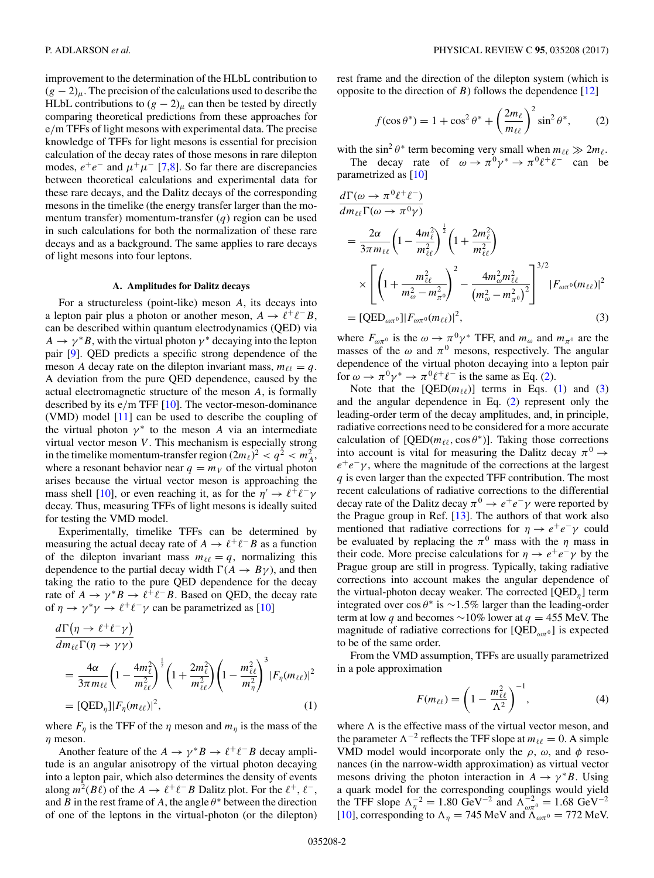<span id="page-1-0"></span>improvement to the determination of the HLbL contribution to  $(g - 2)$ <sub>μ</sub>. The precision of the calculations used to describe the HLbL contributions to  $(g - 2)$ <sub>μ</sub> can then be tested by directly comparing theoretical predictions from these approaches for e/m TFFs of light mesons with experimental data. The precise knowledge of TFFs for light mesons is essential for precision calculation of the decay rates of those mesons in rare dilepton modes,  $e^+e^-$  and  $\mu^+\mu^-$  [\[7,8\]](#page-17-0). So far there are discrepancies between theoretical calculations and experimental data for these rare decays, and the Dalitz decays of the corresponding mesons in the timelike (the energy transfer larger than the momentum transfer) momentum-transfer  $(q)$  region can be used in such calculations for both the normalization of these rare decays and as a background. The same applies to rare decays of light mesons into four leptons.

#### **A. Amplitudes for Dalitz decays**

For a structureless (point-like) meson A, its decays into a lepton pair plus a photon or another meson,  $A \rightarrow \ell^+ \ell^- B$ , can be described within quantum electrodynamics (QED) via  $A \rightarrow \gamma^* B$ , with the virtual photon  $\gamma^*$  decaying into the lepton pair [\[9\]](#page-17-0). QED predicts a specific strong dependence of the meson A decay rate on the dilepton invariant mass,  $m_{\ell\ell} = q$ . A deviation from the pure QED dependence, caused by the actual electromagnetic structure of the meson A, is formally described by its e/m TFF [\[10\]](#page-17-0). The vector-meson-dominance (VMD) model [\[11\]](#page-17-0) can be used to describe the coupling of the virtual photon  $\gamma^*$  to the meson A via an intermediate virtual vector meson  $V$ . This mechanism is especially strong in the timelike momentum-transfer region  $(2m_\ell)^2 < q^2 < m_A^2$ , where a resonant behavior near  $q = m_V$  of the virtual photon arises because the virtual vector meson is approaching the mass shell [\[10\]](#page-17-0), or even reaching it, as for the  $\eta' \to \ell^+ \ell^- \gamma$ decay. Thus, measuring TFFs of light mesons is ideally suited for testing the VMD model.

Experimentally, timelike TFFs can be determined by measuring the actual decay rate of  $A \to \ell^+ \ell^- B$  as a function of the dilepton invariant mass  $m_{\ell\ell} = q$ , normalizing this dependence to the partial decay width  $\Gamma(A \rightarrow B\gamma)$ , and then taking the ratio to the pure QED dependence for the decay rate of  $A \to \gamma^* B \to \ell^+ \ell^- B$ . Based on QED, the decay rate of  $\eta \to \gamma^* \gamma \to \ell^+ \ell^- \gamma$  can be parametrized as [\[10\]](#page-17-0)

$$
\frac{d\Gamma(\eta \to \ell^+ \ell^- \gamma)}{dm_{\ell\ell} \Gamma(\eta \to \gamma \gamma)}
$$
\n
$$
= \frac{4\alpha}{3\pi m_{\ell\ell}} \left(1 - \frac{4m_{\ell}^2}{m_{\ell\ell}^2}\right)^{\frac{1}{2}} \left(1 + \frac{2m_{\ell}^2}{m_{\ell\ell}^2}\right) \left(1 - \frac{m_{\ell\ell}^2}{m_{\eta}^2}\right)^3 |F_{\eta}(m_{\ell\ell})|^2
$$
\n
$$
= [\text{QED}_{\eta}] |F_{\eta}(m_{\ell\ell})|^2, \tag{1}
$$

where  $F_{\eta}$  is the TFF of the  $\eta$  meson and  $m_{\eta}$  is the mass of the  $\eta$  meson.

Another feature of the  $A \to \gamma^* B \to \ell^+ \ell^- B$  decay amplitude is an angular anisotropy of the virtual photon decaying into a lepton pair, which also determines the density of events along  $m^2(B\ell)$  of the  $A \to \ell^+\ell^-B$  Dalitz plot. For the  $\ell^+, \ell^-,$ and B in the rest frame of A, the angle  $\theta^*$  between the direction of one of the leptons in the virtual-photon (or the dilepton)

rest frame and the direction of the dilepton system (which is opposite to the direction of  $B$ ) follows the dependence [\[12\]](#page-17-0)

$$
f(\cos \theta^*) = 1 + \cos^2 \theta^* + \left(\frac{2m_\ell}{m_{\ell\ell}}\right)^2 \sin^2 \theta^*,\qquad(2)
$$

with the sin<sup>2</sup>  $\theta^*$  term becoming very small when  $m_{\ell\ell} \gg 2m_{\ell}$ .

The decay rate of  $\omega \to \pi^0 \gamma^* \to \pi^0 \ell^+ \ell^-$  can be parametrized as [\[10\]](#page-17-0)

$$
\frac{d\Gamma(\omega \to \pi^0 \ell^+ \ell^-)}{dm_{\ell\ell} \Gamma(\omega \to \pi^0 \gamma)}
$$
\n
$$
= \frac{2\alpha}{3\pi m_{\ell\ell}} \left(1 - \frac{4m_{\ell}^2}{m_{\ell\ell}^2}\right)^{\frac{1}{2}} \left(1 + \frac{2m_{\ell}^2}{m_{\ell\ell}^2}\right)
$$
\n
$$
\times \left[ \left(1 + \frac{m_{\ell\ell}^2}{m_{\omega}^2 - m_{\pi^0}^2}\right)^2 - \frac{4m_{\omega}^2 m_{\ell\ell}^2}{\left(m_{\omega}^2 - m_{\pi^0}^2\right)^2} \right]^{3/2} |F_{\omega\pi^0}(m_{\ell\ell})|^2
$$
\n
$$
= [\text{QED}_{\omega\pi^0}] |F_{\omega\pi^0}(m_{\ell\ell})|^2, \tag{3}
$$

where  $F_{\omega\pi^0}$  is the  $\omega \to \pi^0 \gamma^*$  TFF, and  $m_\omega$  and  $m_{\pi^0}$  are the masses of the  $\omega$  and  $\pi^0$  mesons, respectively. The angular dependence of the virtual photon decaying into a lepton pair for  $\omega \to \pi^0 \gamma^* \to \pi^0 \ell^+ \ell^-$  is the same as Eq. (2).

Note that the  $[QED(m_{\ell})]$  terms in Eqs. (1) and (3) and the angular dependence in Eq. (2) represent only the leading-order term of the decay amplitudes, and, in principle, radiative corrections need to be considered for a more accurate calculation of  $[QED(m_{\ell\ell}, \cos \theta^*)]$ . Taking those corrections into account is vital for measuring the Dalitz decay  $\pi^0 \rightarrow$  $e^+e^-\gamma$ , where the magnitude of the corrections at the largest  $q$  is even larger than the expected TFF contribution. The most recent calculations of radiative corrections to the differential decay rate of the Dalitz decay  $\pi^0 \to e^+e^-\gamma$  were reported by the Prague group in Ref. [\[13\]](#page-17-0). The authors of that work also mentioned that radiative corrections for  $\eta \to e^+e^-\gamma$  could be evaluated by replacing the  $\pi^0$  mass with the  $\eta$  mass in their code. More precise calculations for  $\eta \to e^+e^-\gamma$  by the Prague group are still in progress. Typically, taking radiative corrections into account makes the angular dependence of the virtual-photon decay weaker. The corrected  $[QED_n]$  term integrated over cos  $\theta^*$  is ~1.5% larger than the leading-order term at low q and becomes  $\sim$ 10% lower at q = 455 MeV. The magnitude of radiative corrections for  $[QED_{\omega\pi^0}]$  is expected to be of the same order.

From the VMD assumption, TFFs are usually parametrized in a pole approximation

$$
F(m_{\ell\ell}) = \left(1 - \frac{m_{\ell\ell}^2}{\Lambda^2}\right)^{-1},\tag{4}
$$

where  $\Lambda$  is the effective mass of the virtual vector meson, and the parameter  $\Lambda^{-2}$  reflects the TFF slope at  $m_{\ell\ell} = 0$ . A simple VMD model would incorporate only the  $\rho$ ,  $\omega$ , and  $\phi$  resonances (in the narrow-width approximation) as virtual vector mesons driving the photon interaction in  $A \rightarrow \gamma^* B$ . Using a quark model for the corresponding couplings would yield the TFF slope  $\Lambda_{\eta}^{-2} = 1.80 \text{ GeV}^{-2}$  and  $\Lambda_{\omega\pi^0}^{-2} = 1.68 \text{ GeV}^{-2}$ [\[10\]](#page-17-0), corresponding to  $\Lambda_{\eta} = 745$  MeV and  $\Lambda_{\omega\pi^{0}} = 772$  MeV.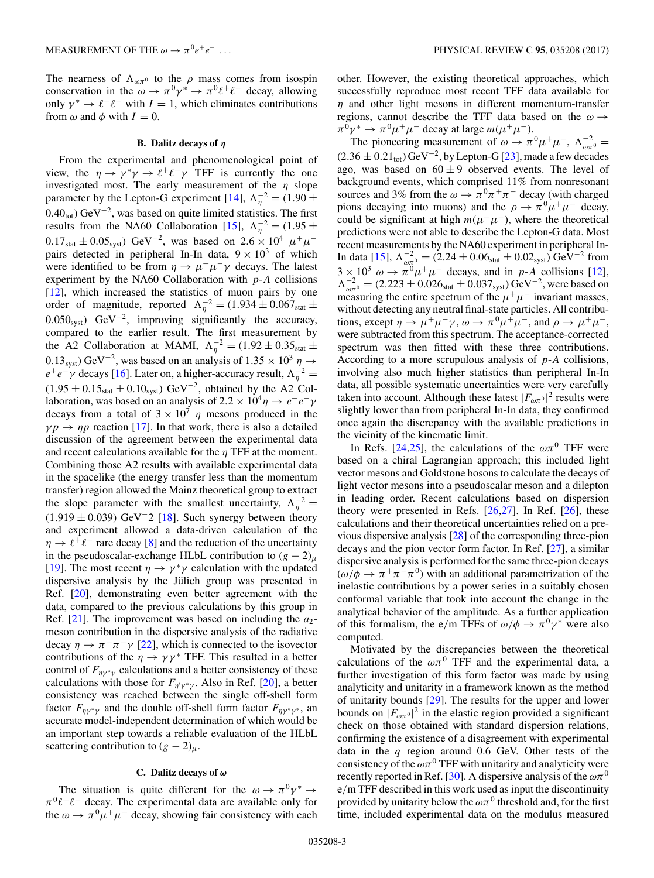The nearness of  $\Lambda_{\omega\pi^0}$  to the  $\rho$  mass comes from isospin conservation in the  $\omega \to \pi^0 \gamma^* \to \pi^0 \ell^+ \ell^-$  decay, allowing only  $\gamma^* \to \ell^+ \ell^-$  with  $I = 1$ , which eliminates contributions from  $\omega$  and  $\phi$  with  $I = 0$ .

#### **B. Dalitz decays of** *η*

From the experimental and phenomenological point of view, the  $\eta \to \gamma^* \gamma \to \ell^+ \ell^- \gamma$  TFF is currently the one investigated most. The early measurement of the  $\eta$  slope parameter by the Lepton-G experiment [\[14\]](#page-17-0),  $\Lambda_{\eta}^{-2} = (1.90 \pm$  $0.40<sub>tot</sub>$ ) GeV<sup>-2</sup>, was based on quite limited statistics. The first results from the NA60 Collaboration [\[15\]](#page-17-0),  $\Lambda_{\eta}^{-2} = (1.95 \pm 1.00)$  $0.17<sub>stat</sub> \pm 0.05<sub>syst</sub>$  GeV<sup>-2</sup>, was based on  $2.6 \times 10<sup>4</sup> \mu^{+} \mu^{-}$ pairs detected in peripheral In-In data,  $9 \times 10^3$  of which were identified to be from  $\eta \to \mu^+ \mu^- \gamma$  decays. The latest experiment by the NA60 Collaboration with  $p-A$  collisions [\[12\]](#page-17-0), which increased the statistics of muon pairs by one order of magnitude, reported  $\Lambda_{\eta}^{-2} = (1.934 \pm 0.067_{\text{stat}} \pm 1.007_{\text{stat}} \pm 0.007_{\text{stat}} \pm 0.007_{\text{stat}} \pm 0.007_{\text{stat}} \pm 0.007_{\text{stat}} \pm 0.007_{\text{stat}} \pm 0.007_{\text{stat}} \pm 0.007_{\text{stat}} \pm 0.007_{\text{stat}} \pm 0.007_{\text{stat}} \pm 0.007_{\text{stat}} \pm 0.00$ 0.050<sub>syst</sub>) GeV<sup>-2</sup>, improving significantly the accuracy, compared to the earlier result. The first measurement by the A2 Collaboration at MAMI,  $\Lambda_{\eta}^{-2} = (1.92 \pm 0.35_{stat} \pm 0.35_{stat} \pm 0.35_{stat} \pm 0.35_{stat} \pm 0.35_{stat} \pm 0.35_{stat} \pm 0.35_{stat} \pm 0.35_{stat} \pm 0.35_{stat} \pm 0.35_{stat} \pm 0.35_{stat} \pm 0.35_{stat} \pm 0.35_{stat} \pm 0.35_{stat} \pm 0.35_{stat} \pm 0.35_{stat} \pm 0.35_{stat} \pm 0.$  $(0.13<sub>syst</sub>) \text{ GeV}^{-2}$ , was based on an analysis of  $1.35 \times 10<sup>3</sup> \eta \rightarrow$  $e^+e^- \gamma$  decays [\[16\]](#page-17-0). Later on, a higher-accuracy result,  $\Lambda_{\eta}^{-2} =$  $(1.95 \pm 0.15<sub>stat</sub> \pm 0.10<sub>syst</sub>)$  GeV<sup>-2</sup>, obtained by the A2 Collaboration, was based on an analysis of 2.2 ×  $10^4 \eta \rightarrow e^+e^-\gamma$ decays from a total of  $3 \times 10^7$  *n* mesons produced in the  $\gamma p \rightarrow \eta p$  reaction [\[17\]](#page-17-0). In that work, there is also a detailed discussion of the agreement between the experimental data and recent calculations available for the  $\eta$  TFF at the moment. Combining those A2 results with available experimental data in the spacelike (the energy transfer less than the momentum transfer) region allowed the Mainz theoretical group to extract the slope parameter with the smallest uncertainty,  $\Lambda_{\eta}^{-2} =$  $(1.919 \pm 0.039)$  GeV<sup>-2</sup> [\[18\]](#page-17-0). Such synergy between theory and experiment allowed a data-driven calculation of the  $\eta \rightarrow \ell^+\ell^-$  rare decay [\[8\]](#page-17-0) and the reduction of the uncertainty in the pseudoscalar-exchange HLbL contribution to  $(g - 2)_{\mu}$ [\[19\]](#page-17-0). The most recent  $\eta \to \gamma^* \gamma$  calculation with the updated dispersive analysis by the Jülich group was presented in Ref. [\[20\]](#page-17-0), demonstrating even better agreement with the data, compared to the previous calculations by this group in Ref.  $[21]$ . The improvement was based on including the  $a_2$ meson contribution in the dispersive analysis of the radiative decay  $\eta \to \pi^+\pi^-\gamma$  [\[22\]](#page-17-0), which is connected to the isovector contributions of the  $\eta \to \gamma \gamma^*$  TFF. This resulted in a better control of  $F_{\eta\gamma^*\gamma}$  calculations and a better consistency of these calculations with those for  $F_{\eta/\gamma^*\gamma}$ . Also in Ref. [\[20\]](#page-17-0), a better consistency was reached between the single off-shell form factor  $F_{\eta\gamma^*\gamma}$  and the double off-shell form factor  $F_{\eta\gamma^*\gamma^*}$ , an accurate model-independent determination of which would be an important step towards a reliable evaluation of the HLbL scattering contribution to  $(g - 2)_{\mu}$ .

## **C. Dalitz decays of** *ω*

The situation is quite different for the  $\omega \to \pi^0 \gamma^* \to$  $\pi^{0}\ell^{+}\ell^{-}$  decay. The experimental data are available only for the  $\omega \rightarrow \pi^0 \mu^+ \mu^-$  decay, showing fair consistency with each

other. However, the existing theoretical approaches, which successfully reproduce most recent TFF data available for  $\eta$  and other light mesons in different momentum-transfer regions, cannot describe the TFF data based on the  $\omega \rightarrow$  $\pi^0 \gamma^* \to \pi^0 \mu^+ \mu^-$  decay at large  $m(\mu^+ \mu^-)$ .

The pioneering measurement of  $\omega \to \pi^0 \mu^+ \mu^-$ ,  $\Lambda_{\omega \pi^0}^{-2} =$  $(2.36 \pm 0.21<sub>tot</sub>)$  GeV<sup>-2</sup>, by Lepton-G [\[23\]](#page-17-0), made a few decades ago, was based on  $60 \pm 9$  observed events. The level of background events, which comprised 11% from nonresonant sources and 3% from the  $\omega \to \pi^0 \pi^+ \pi^-$  decay (with charged pions decaying into muons) and the  $\rho \to \pi^0 \mu^+ \mu^-$  decay, could be significant at high  $m(\mu^+\mu^-)$ , where the theoretical predictions were not able to describe the Lepton-G data. Most recent measurements by the NA60 experiment in peripheral In-In data [\[15\]](#page-17-0),  $\Lambda_{\omega_{\pi}^{0}}^{-2} = (2.24 \pm 0.06_{\text{stat}} \pm 0.02_{\text{syst}}) \text{ GeV}^{-2}$  from  $3 \times 10^3 \omega \rightarrow \pi^0 \mu^+ \mu^-$  decays, and in p-A collisions [\[12\]](#page-17-0),  $\Lambda_{\omega\pi^0}^{-2} = (2.223 \pm 0.026_{stat} \pm 0.037_{syst}) \,\text{GeV}^{-2}$ , were based on measuring the entire spectrum of the  $\mu^+ \mu^-$  invariant masses, without detecting any neutral final-state particles. All contributions, except  $\eta \to \mu^+ \mu^- \gamma$ ,  $\omega \to \pi^0 \mu^+ \mu^-$ , and  $\rho \to \mu^+ \mu^-$ , were subtracted from this spectrum. The acceptance-corrected spectrum was then fitted with these three contributions. According to a more scrupulous analysis of  $p-A$  collisions, involving also much higher statistics than peripheral In-In data, all possible systematic uncertainties were very carefully taken into account. Although these latest  $|F_{\omega\pi^0}|^2$  results were slightly lower than from peripheral In-In data, they confirmed once again the discrepancy with the available predictions in the vicinity of the kinematic limit.

In Refs. [\[24,25\]](#page-17-0), the calculations of the  $\omega\pi^0$  TFF were based on a chiral Lagrangian approach; this included light vector mesons and Goldstone bosons to calculate the decays of light vector mesons into a pseudoscalar meson and a dilepton in leading order. Recent calculations based on dispersion theory were presented in Refs.  $[26,27]$ . In Ref.  $[26]$ , these calculations and their theoretical uncertainties relied on a previous dispersive analysis [\[28\]](#page-17-0) of the corresponding three-pion decays and the pion vector form factor. In Ref. [\[27\]](#page-17-0), a similar dispersive analysis is performed for the same three-pion decays  $(\omega/\phi \rightarrow \pi^+\pi^-\pi^0)$  with an additional parametrization of the inelastic contributions by a power series in a suitably chosen conformal variable that took into account the change in the analytical behavior of the amplitude. As a further application of this formalism, the e/m TFFs of  $\omega/\phi \rightarrow \pi^0 \gamma^*$  were also computed.

Motivated by the discrepancies between the theoretical calculations of the  $\omega \pi^0$  TFF and the experimental data, a further investigation of this form factor was made by using analyticity and unitarity in a framework known as the method of unitarity bounds [\[29\]](#page-17-0). The results for the upper and lower bounds on  $|F_{\omega\pi^0}|^2$  in the elastic region provided a significant check on those obtained with standard dispersion relations, confirming the existence of a disagreement with experimental data in the  $q$  region around 0.6 GeV. Other tests of the consistency of the  $\omega\pi^{0}$  TFF with unitarity and analyticity were recently reported in Ref. [\[30\]](#page-17-0). A dispersive analysis of the  $\omega\pi^{0}$ e/m TFF described in this work used as input the discontinuity provided by unitarity below the  $\omega\pi^0$  threshold and, for the first time, included experimental data on the modulus measured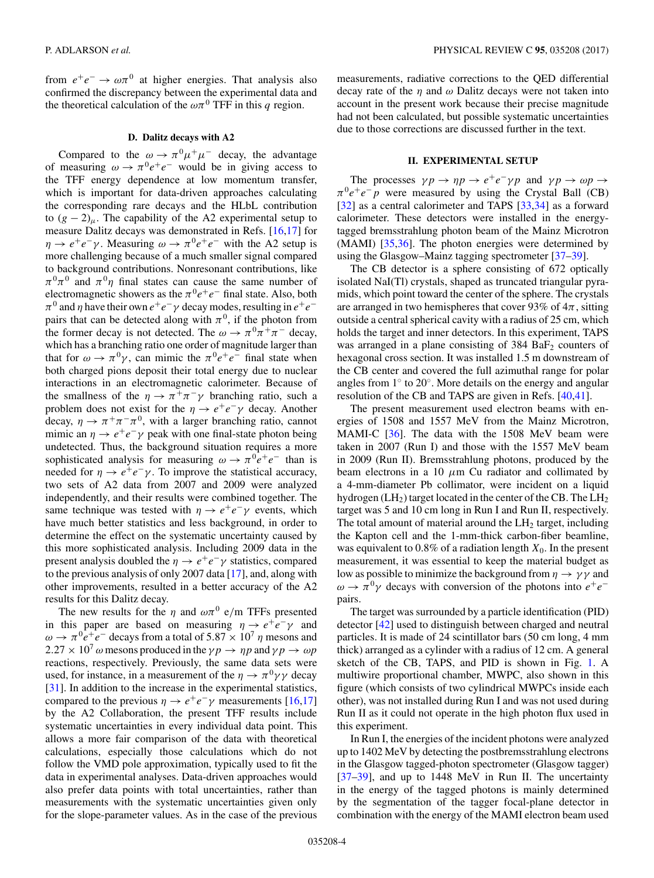from  $e^+e^- \rightarrow \omega \pi^0$  at higher energies. That analysis also confirmed the discrepancy between the experimental data and the theoretical calculation of the  $\omega \pi^0$  TFF in this q region.

## **D. Dalitz decays with A2**

Compared to the  $\omega \to \pi^0 \mu^+ \mu^-$  decay, the advantage of measuring  $\omega \rightarrow \pi^0 e^+e^-$  would be in giving access to the TFF energy dependence at low momentum transfer, which is important for data-driven approaches calculating the corresponding rare decays and the HLbL contribution to  $(g - 2)_{\mu}$ . The capability of the A2 experimental setup to measure Dalitz decays was demonstrated in Refs. [\[16,17\]](#page-17-0) for  $\eta \to e^+e^-\gamma$ . Measuring  $\omega \to \pi^0e^+e^-$  with the A2 setup is more challenging because of a much smaller signal compared to background contributions. Nonresonant contributions, like  $\pi^{0}\pi^{0}$  and  $\pi^{0}\eta$  final states can cause the same number of electromagnetic showers as the  $\pi^0 e^+e^-$  final state. Also, both  $\pi^0$  and  $\eta$  have their own  $e^+e^-\gamma$  decay modes, resulting in  $e^+e^$ pairs that can be detected along with  $\pi^0$ , if the photon from the former decay is not detected. The  $\omega \to \pi^0 \pi^+ \pi^-$  decay, which has a branching ratio one order of magnitude larger than that for  $\omega \to \pi^0 \gamma$ , can mimic the  $\pi^0 e^+ e^-$  final state when both charged pions deposit their total energy due to nuclear interactions in an electromagnetic calorimeter. Because of the smallness of the  $\eta \to \pi^+ \pi^- \gamma$  branching ratio, such a problem does not exist for the  $\eta \to e^+e^-\gamma$  decay. Another decay,  $\eta \to \pi^+\pi^-\pi^0$ , with a larger branching ratio, cannot mimic an  $\eta \rightarrow e^+e^-\gamma$  peak with one final-state photon being undetected. Thus, the background situation requires a more sophisticated analysis for measuring  $\omega \to \pi^0 e^+e^-$  than is needed for  $\eta \rightarrow e^+e^-\gamma$ . To improve the statistical accuracy, two sets of A2 data from 2007 and 2009 were analyzed independently, and their results were combined together. The same technique was tested with  $\eta \to e^+e^-\gamma$  events, which have much better statistics and less background, in order to determine the effect on the systematic uncertainty caused by this more sophisticated analysis. Including 2009 data in the present analysis doubled the  $\eta \to e^+e^-\gamma$  statistics, compared to the previous analysis of only 2007 data [\[17\]](#page-17-0), and, along with other improvements, resulted in a better accuracy of the A2 results for this Dalitz decay.

The new results for the  $\eta$  and  $\omega \pi^0$  e/m TFFs presented in this paper are based on measuring  $\eta \to e^+e^-\gamma$  and  $\omega \rightarrow \pi^0 e^+e^-$  decays from a total of 5.87 × 10<sup>7</sup>  $\eta$  mesons and  $2.27 \times 10^7 \omega$  mesons produced in the  $\gamma p \to \eta p$  and  $\gamma p \to \omega p$ reactions, respectively. Previously, the same data sets were used, for instance, in a measurement of the  $\eta \to \pi^0 \gamma \gamma$  decay [\[31\]](#page-17-0). In addition to the increase in the experimental statistics, compared to the previous  $\eta \to e^+e^-\gamma$  measurements [\[16,17\]](#page-17-0) by the A2 Collaboration, the present TFF results include systematic uncertainties in every individual data point. This allows a more fair comparison of the data with theoretical calculations, especially those calculations which do not follow the VMD pole approximation, typically used to fit the data in experimental analyses. Data-driven approaches would also prefer data points with total uncertainties, rather than measurements with the systematic uncertainties given only for the slope-parameter values. As in the case of the previous

measurements, radiative corrections to the QED differential decay rate of the  $\eta$  and  $\omega$  Dalitz decays were not taken into account in the present work because their precise magnitude had not been calculated, but possible systematic uncertainties due to those corrections are discussed further in the text.

## **II. EXPERIMENTAL SETUP**

The processes  $\gamma p \to \eta p \to e^+e^- \gamma p$  and  $\gamma p \to \omega p \to \eta$  $\pi^0 e^+e^-p$  were measured by using the Crystal Ball (CB) [\[32\]](#page-17-0) as a central calorimeter and TAPS [\[33,34\]](#page-17-0) as a forward calorimeter. These detectors were installed in the energytagged bremsstrahlung photon beam of the Mainz Microtron (MAMI) [\[35,36\]](#page-17-0). The photon energies were determined by using the Glasgow–Mainz tagging spectrometer [\[37–39\]](#page-17-0).

The CB detector is a sphere consisting of 672 optically isolated NaI(Tl) crystals, shaped as truncated triangular pyramids, which point toward the center of the sphere. The crystals are arranged in two hemispheres that cover 93% of  $4\pi$ , sitting outside a central spherical cavity with a radius of 25 cm, which holds the target and inner detectors. In this experiment, TAPS was arranged in a plane consisting of  $384 \text{ BaF}_2$  counters of hexagonal cross section. It was installed 1.5 m downstream of the CB center and covered the full azimuthal range for polar angles from 1◦ to 20◦. More details on the energy and angular resolution of the CB and TAPS are given in Refs. [\[40,41\]](#page-17-0).

The present measurement used electron beams with energies of 1508 and 1557 MeV from the Mainz Microtron, MAMI-C [\[36\]](#page-17-0). The data with the 1508 MeV beam were taken in 2007 (Run I) and those with the 1557 MeV beam in 2009 (Run II). Bremsstrahlung photons, produced by the beam electrons in a 10  $\mu$ m Cu radiator and collimated by a 4-mm-diameter Pb collimator, were incident on a liquid hydrogen  $(LH_2)$  target located in the center of the CB. The  $LH_2$ target was 5 and 10 cm long in Run I and Run II, respectively. The total amount of material around the  $LH_2$  target, including the Kapton cell and the 1-mm-thick carbon-fiber beamline, was equivalent to 0.8% of a radiation length  $X_0$ . In the present measurement, it was essential to keep the material budget as low as possible to minimize the background from  $\eta \to \gamma \gamma$  and  $\omega \rightarrow \pi^0 \gamma$  decays with conversion of the photons into  $e^+e^$ pairs.

The target was surrounded by a particle identification (PID) detector [\[42\]](#page-17-0) used to distinguish between charged and neutral particles. It is made of 24 scintillator bars (50 cm long, 4 mm thick) arranged as a cylinder with a radius of 12 cm. A general sketch of the CB, TAPS, and PID is shown in Fig. [1.](#page-4-0) A multiwire proportional chamber, MWPC, also shown in this figure (which consists of two cylindrical MWPCs inside each other), was not installed during Run I and was not used during Run II as it could not operate in the high photon flux used in this experiment.

In Run I, the energies of the incident photons were analyzed up to 1402 MeV by detecting the postbremsstrahlung electrons in the Glasgow tagged-photon spectrometer (Glasgow tagger) [\[37–39\]](#page-17-0), and up to 1448 MeV in Run II. The uncertainty in the energy of the tagged photons is mainly determined by the segmentation of the tagger focal-plane detector in combination with the energy of the MAMI electron beam used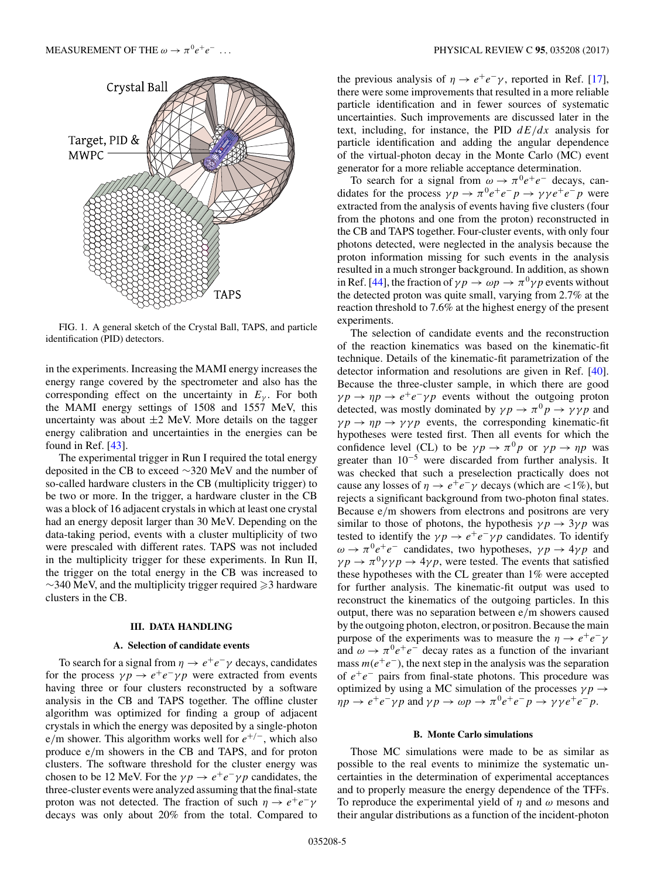<span id="page-4-0"></span>

FIG. 1. A general sketch of the Crystal Ball, TAPS, and particle identification (PID) detectors.

in the experiments. Increasing the MAMI energy increases the energy range covered by the spectrometer and also has the corresponding effect on the uncertainty in  $E<sub>y</sub>$ . For both the MAMI energy settings of 1508 and 1557 MeV, this uncertainty was about  $\pm 2$  MeV. More details on the tagger energy calibration and uncertainties in the energies can be found in Ref. [\[43\]](#page-17-0).

The experimental trigger in Run I required the total energy deposited in the CB to exceed ∼320 MeV and the number of so-called hardware clusters in the CB (multiplicity trigger) to be two or more. In the trigger, a hardware cluster in the CB was a block of 16 adjacent crystals in which at least one crystal had an energy deposit larger than 30 MeV. Depending on the data-taking period, events with a cluster multiplicity of two were prescaled with different rates. TAPS was not included in the multiplicity trigger for these experiments. In Run II, the trigger on the total energy in the CB was increased to  $\sim$ 340 MeV, and the multiplicity trigger required  $\geq$ 3 hardware clusters in the CB.

# **III. DATA HANDLING**

#### **A. Selection of candidate events**

To search for a signal from  $\eta \to e^+e^-\gamma$  decays, candidates for the process  $\gamma p \to e^+e^-\gamma p$  were extracted from events having three or four clusters reconstructed by a software analysis in the CB and TAPS together. The offline cluster algorithm was optimized for finding a group of adjacent crystals in which the energy was deposited by a single-photon e/m shower. This algorithm works well for  $e^{+/-}$ , which also produce e/m showers in the CB and TAPS, and for proton clusters. The software threshold for the cluster energy was chosen to be 12 MeV. For the  $\gamma p \to e^+e^- \gamma p$  candidates, the three-cluster events were analyzed assuming that the final-state proton was not detected. The fraction of such  $\eta \to e^+e^-\gamma$ decays was only about 20% from the total. Compared to the previous analysis of  $\eta \rightarrow e^+e^-\gamma$ , reported in Ref. [\[17\]](#page-17-0), there were some improvements that resulted in a more reliable particle identification and in fewer sources of systematic uncertainties. Such improvements are discussed later in the text, including, for instance, the PID  $dE/dx$  analysis for particle identification and adding the angular dependence of the virtual-photon decay in the Monte Carlo (MC) event generator for a more reliable acceptance determination.

To search for a signal from  $\omega \to \pi^0 e^+ e^-$  decays, candidates for the process  $\gamma p \to \pi^0 e^+ e^- p \to \gamma \gamma e^+ e^- p$  were extracted from the analysis of events having five clusters (four from the photons and one from the proton) reconstructed in the CB and TAPS together. Four-cluster events, with only four photons detected, were neglected in the analysis because the proton information missing for such events in the analysis resulted in a much stronger background. In addition, as shown in Ref. [\[44\]](#page-17-0), the fraction of  $\gamma p \to \omega p \to \pi^0 \gamma p$  events without the detected proton was quite small, varying from 2.7% at the reaction threshold to 7.6% at the highest energy of the present experiments.

The selection of candidate events and the reconstruction of the reaction kinematics was based on the kinematic-fit technique. Details of the kinematic-fit parametrization of the detector information and resolutions are given in Ref. [\[40\]](#page-17-0). Because the three-cluster sample, in which there are good  $\gamma p \to \eta p \to e^+e^-\gamma p$  events without the outgoing proton detected, was mostly dominated by  $\gamma p \to \pi^0 p \to \gamma \gamma p$  and  $\gamma p \rightarrow \eta p \rightarrow \gamma \gamma p$  events, the corresponding kinematic-fit hypotheses were tested first. Then all events for which the confidence level (CL) to be  $\gamma p \to \pi^0 p$  or  $\gamma p \to \eta p$  was greater than  $10^{-5}$  were discarded from further analysis. It was checked that such a preselection practically does not cause any losses of  $\eta \to e^+e^-\gamma$  decays (which are <1%), but rejects a significant background from two-photon final states. Because e/m showers from electrons and positrons are very similar to those of photons, the hypothesis  $\gamma p \rightarrow 3 \gamma p$  was tested to identify the  $\gamma p \to e^+e^-\gamma p$  candidates. To identify  $\omega \rightarrow \pi^0 e^+e^-$  candidates, two hypotheses,  $\gamma p \rightarrow 4\gamma p$  and  $\gamma p \to \pi^0 \gamma \gamma p \to 4 \gamma p$ , were tested. The events that satisfied these hypotheses with the CL greater than 1% were accepted for further analysis. The kinematic-fit output was used to reconstruct the kinematics of the outgoing particles. In this output, there was no separation between e/m showers caused by the outgoing photon, electron, or positron. Because the main purpose of the experiments was to measure the  $\eta \to e^+e^-\gamma$ and  $\omega \rightarrow \pi^0 e^+e^-$  decay rates as a function of the invariant mass  $m(e^+e^-)$ , the next step in the analysis was the separation of  $e^+e^-$  pairs from final-state photons. This procedure was optimized by using a MC simulation of the processes  $\gamma p \rightarrow$  $\eta p \to e^+e^-\gamma p$  and  $\gamma p \to \omega p \to \pi^0 e^+e^-p \to \gamma \gamma e^+e^-p$ .

#### **B. Monte Carlo simulations**

Those MC simulations were made to be as similar as possible to the real events to minimize the systematic uncertainties in the determination of experimental acceptances and to properly measure the energy dependence of the TFFs. To reproduce the experimental yield of  $\eta$  and  $\omega$  mesons and their angular distributions as a function of the incident-photon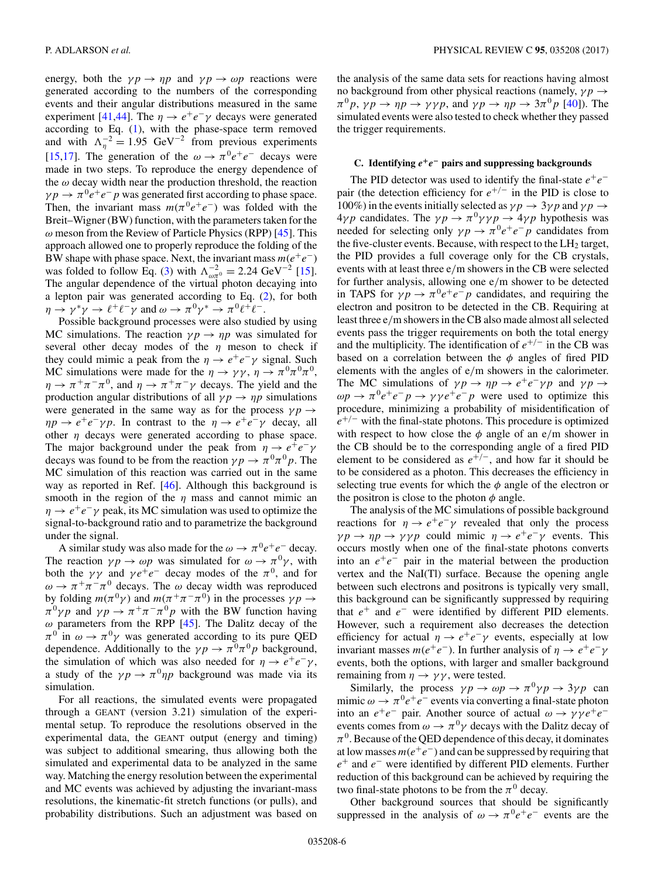energy, both the  $\gamma p \to \eta p$  and  $\gamma p \to \omega p$  reactions were generated according to the numbers of the corresponding events and their angular distributions measured in the same experiment [\[41,44\]](#page-17-0). The  $\eta \rightarrow e^+e^-\gamma$  decays were generated according to Eq. [\(1\)](#page-1-0), with the phase-space term removed and with  $\Lambda_{\eta}^{-2} = 1.95 \text{ GeV}^{-2}$  from previous experiments [\[15,17\]](#page-17-0). The generation of the  $\omega \rightarrow \pi^0 e^+e^-$  decays were made in two steps. To reproduce the energy dependence of the  $\omega$  decay width near the production threshold, the reaction  $\gamma p \to \pi^0 e^+e^-p$  was generated first according to phase space. Then, the invariant mass  $m(\pi^0 e^+e^-)$  was folded with the Breit–Wigner (BW) function, with the parameters taken for the  $\omega$  meson from the Review of Particle Physics (RPP) [\[45\]](#page-17-0). This approach allowed one to properly reproduce the folding of the BW shape with phase space. Next, the invariant mass  $m(e^+e^-)$ was folded to follow Eq. [\(3\)](#page-1-0) with  $\Lambda_{\omega\pi^0}^{-2} = 2.24 \text{ GeV}^{-2}$  [\[15\]](#page-17-0). The angular dependence of the virtual photon decaying into a lepton pair was generated according to Eq. [\(2\)](#page-1-0), for both  $\eta \to \gamma^* \gamma \to \ell^+ \ell^- \gamma$  and  $\omega \to \pi^0 \gamma^* \to \pi^0 \ell^+ \ell^-$ .

Possible background processes were also studied by using MC simulations. The reaction  $\gamma p \to \eta p$  was simulated for several other decay modes of the  $\eta$  meson to check if they could mimic a peak from the  $\eta \to e^+e^-\gamma$  signal. Such MC simulations were made for the  $\eta \to \gamma \gamma$ ,  $\eta \to \pi^0 \pi^0 \pi^0$ ,  $\eta \to \pi^+\pi^-\pi^0$ , and  $\eta \to \pi^+\pi^-\gamma$  decays. The yield and the production angular distributions of all  $\gamma p \rightarrow \eta p$  simulations were generated in the same way as for the process  $\gamma p \rightarrow$  $\eta p \to e^+e^-\gamma p$ . In contrast to the  $\eta \to e^+e^-\gamma$  decay, all other  $\eta$  decays were generated according to phase space. The major background under the peak from  $\eta \to e^+e^-\gamma$ decays was found to be from the reaction  $\gamma p \to \pi^0 \pi^0 p$ . The MC simulation of this reaction was carried out in the same way as reported in Ref. [\[46\]](#page-17-0). Although this background is smooth in the region of the  $\eta$  mass and cannot mimic an  $\eta \to e^+e^-\gamma$  peak, its MC simulation was used to optimize the signal-to-background ratio and to parametrize the background under the signal.

A similar study was also made for the  $\omega \to \pi^0 e^+e^-$  decay. The reaction  $\gamma p \to \omega p$  was simulated for  $\omega \to \pi^0 \gamma$ , with both the  $\gamma \gamma$  and  $\gamma e^+e^-$  decay modes of the  $\pi^0$ , and for  $\omega \rightarrow \pi^+\pi^-\pi^0$  decays. The  $\omega$  decay width was reproduced by folding  $m(\pi^0 \gamma)$  and  $m(\pi^+ \pi^- \pi^0)$  in the processes  $\gamma p \to$  $\pi^0 \gamma p$  and  $\gamma p \to \pi^+ \pi^- \pi^0 p$  with the BW function having  $\omega$  parameters from the RPP [\[45\]](#page-17-0). The Dalitz decay of the  $\pi^0$  in  $\omega \to \pi^0 \gamma$  was generated according to its pure QED dependence. Additionally to the  $\gamma p \to \pi^0 \pi^0 p$  background, the simulation of which was also needed for  $\eta \to e^+e^-\gamma$ , a study of the  $\gamma p \to \pi^0 \eta p$  background was made via its simulation.

For all reactions, the simulated events were propagated through a GEANT (version 3.21) simulation of the experimental setup. To reproduce the resolutions observed in the experimental data, the GEANT output (energy and timing) was subject to additional smearing, thus allowing both the simulated and experimental data to be analyzed in the same way. Matching the energy resolution between the experimental and MC events was achieved by adjusting the invariant-mass resolutions, the kinematic-fit stretch functions (or pulls), and probability distributions. Such an adjustment was based on

the analysis of the same data sets for reactions having almost no background from other physical reactions (namely,  $\gamma p \rightarrow$  $\pi^0 p$ ,  $\gamma p \to \eta p \to \gamma \gamma p$ , and  $\gamma p \to \eta p \to 3\pi^0 p$  [\[40\]](#page-17-0)). The simulated events were also tested to check whether they passed the trigger requirements.

## **C. Identifying** *e***+***e***<sup>−</sup> pairs and suppressing backgrounds**

The PID detector was used to identify the final-state  $e^+e^$ pair (the detection efficiency for  $e^{+/-}$  in the PID is close to 100%) in the events initially selected as  $\gamma p \rightarrow 3 \gamma p$  and  $\gamma p \rightarrow$  $4\gamma p$  candidates. The  $\gamma p \rightarrow \pi^0 \gamma \gamma p \rightarrow 4\gamma p$  hypothesis was needed for selecting only  $\gamma p \to \pi^0 e^+ e^- p$  candidates from the five-cluster events. Because, with respect to the  $LH_2$  target, the PID provides a full coverage only for the CB crystals, events with at least three e/m showers in the CB were selected for further analysis, allowing one e/m shower to be detected in TAPS for  $\gamma p \to \pi^0 e^+e^-p$  candidates, and requiring the electron and positron to be detected in the CB. Requiring at least three e/m showers in the CB also made almost all selected events pass the trigger requirements on both the total energy and the multiplicity. The identification of  $e^{+/-}$  in the CB was based on a correlation between the  $\phi$  angles of fired PID elements with the angles of e/m showers in the calorimeter. The MC simulations of  $\gamma p \to \eta p \to e^+e^- \gamma p$  and  $\gamma p \to \eta$  $\omega p \rightarrow \pi^0 e^+ e^- p \rightarrow \gamma \gamma e^+ e^- p$  were used to optimize this procedure, minimizing a probability of misidentification of  $e^{+/-}$  with the final-state photons. This procedure is optimized with respect to how close the  $\phi$  angle of an e/m shower in the CB should be to the corresponding angle of a fired PID element to be considered as  $e^{+/-}$ , and how far it should be to be considered as a photon. This decreases the efficiency in selecting true events for which the  $\phi$  angle of the electron or the positron is close to the photon  $\phi$  angle.

The analysis of the MC simulations of possible background reactions for  $\eta \to e^+e^-\gamma$  revealed that only the process  $\gamma p \to \eta p \to \gamma \gamma p$  could mimic  $\eta \to e^+e^- \gamma$  events. This occurs mostly when one of the final-state photons converts into an  $e^+e^-$  pair in the material between the production vertex and the NaI(Tl) surface. Because the opening angle between such electrons and positrons is typically very small, this background can be significantly suppressed by requiring that  $e^+$  and  $e^-$  were identified by different PID elements. However, such a requirement also decreases the detection efficiency for actual  $\eta \to e^+e^-\gamma$  events, especially at low invariant masses  $m(e^+e^-)$ . In further analysis of  $\eta \to e^+e^-\gamma$ events, both the options, with larger and smaller background remaining from  $\eta \rightarrow \gamma \gamma$ , were tested.

Similarly, the process  $\gamma p \to \omega p \to \pi^0 \gamma p \to 3 \gamma p$  can mimic  $\omega \to \pi^0 e^+e^-$  events via converting a final-state photon into an  $e^+e^-$  pair. Another source of actual  $\omega \rightarrow \gamma \gamma e^+e^$ events comes from  $\omega \to \pi^0 \gamma$  decays with the Dalitz decay of  $\pi^0$ . Because of the QED dependence of this decay, it dominates at low masses  $m(e^+e^-)$  and can be suppressed by requiring that  $e^+$  and  $e^-$  were identified by different PID elements. Further reduction of this background can be achieved by requiring the two final-state photons to be from the  $\pi^0$  decay.

Other background sources that should be significantly suppressed in the analysis of  $\omega \rightarrow \pi^0 e^+e^-$  events are the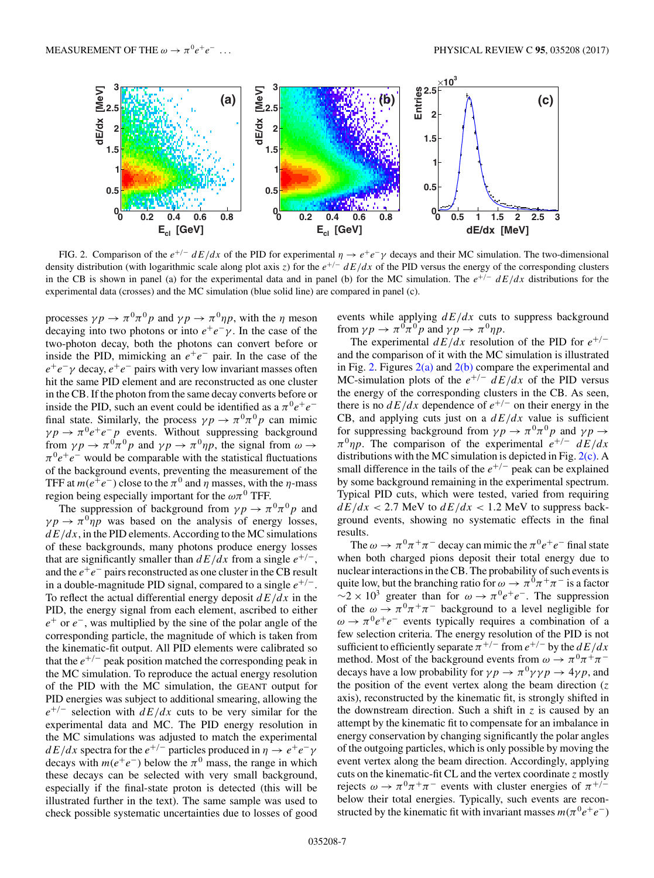

FIG. 2. Comparison of the  $e^{+/-}$  dE/dx of the PID for experimental  $\eta \to e^+e^-\gamma$  decays and their MC simulation. The two-dimensional density distribution (with logarithmic scale along plot axis z) for the  $e^{+/-}$  dE/dx of the PID versus the energy of the corresponding clusters in the CB is shown in panel (a) for the experimental data and in panel (b) for the MC simulation. The  $e^{+/-}$  dE/dx distributions for the experimental data (crosses) and the MC simulation (blue solid line) are compared in panel (c).

processes  $\gamma p \to \pi^0 \pi^0 p$  and  $\gamma p \to \pi^0 \eta p$ , with the  $\eta$  meson decaying into two photons or into  $e^+e^- \gamma$ . In the case of the two-photon decay, both the photons can convert before or inside the PID, mimicking an  $e^+e^-$  pair. In the case of the  $e^+e^- \gamma$  decay,  $e^+e^-$  pairs with very low invariant masses often hit the same PID element and are reconstructed as one cluster in the CB. If the photon from the same decay converts before or inside the PID, such an event could be identified as a  $\pi^0 e^+e^$ final state. Similarly, the process  $\gamma p \to \pi^0 \pi^0 p$  can mimic  $\gamma p \to \pi^0 e^+e^-p$  events. Without suppressing background from  $\gamma p \to \pi^0 \pi^0 p$  and  $\gamma p \to \pi^0 \eta p$ , the signal from  $\omega \to$  $\pi^0 e^+e^-$  would be comparable with the statistical fluctuations of the background events, preventing the measurement of the TFF at  $m(e^+e^-)$  close to the  $\pi^0$  and  $\eta$  masses, with the  $\eta$ -mass region being especially important for the  $\omega \pi^0$  TFF.

The suppression of background from  $\gamma p \to \pi^0 \pi^0 p$  and  $\gamma p \rightarrow \pi^0 \eta p$  was based on the analysis of energy losses,  $dE/dx$ , in the PID elements. According to the MC simulations of these backgrounds, many photons produce energy losses that are significantly smaller than  $dE/dx$  from a single  $e^{+/-}$ , and the  $e^+e^-$  pairs reconstructed as one cluster in the CB result in a double-magnitude PID signal, compared to a single  $e^{+/-}$ . To reflect the actual differential energy deposit  $dE/dx$  in the PID, the energy signal from each element, ascribed to either  $e^+$  or  $e^-$ , was multiplied by the sine of the polar angle of the corresponding particle, the magnitude of which is taken from the kinematic-fit output. All PID elements were calibrated so that the  $e^{+/-}$  peak position matched the corresponding peak in the MC simulation. To reproduce the actual energy resolution of the PID with the MC simulation, the GEANT output for PID energies was subject to additional smearing, allowing the  $e^{+/-}$  selection with  $dE/dx$  cuts to be very similar for the experimental data and MC. The PID energy resolution in the MC simulations was adjusted to match the experimental  $dE/dx$  spectra for the  $e^{+/-}$  particles produced in  $\eta \rightarrow e^+e^-\gamma$ decays with  $m(e^+e^-)$  below the  $\pi^0$  mass, the range in which these decays can be selected with very small background, especially if the final-state proton is detected (this will be illustrated further in the text). The same sample was used to check possible systematic uncertainties due to losses of good events while applying  $dE/dx$  cuts to suppress background from  $\gamma p \to \pi^0 \pi^0 p$  and  $\gamma p \to \pi^0 \eta p$ .

The experimental  $dE/dx$  resolution of the PID for  $e^{+/-}$ and the comparison of it with the MC simulation is illustrated in Fig. 2. Figures  $2(a)$  and  $2(b)$  compare the experimental and MC-simulation plots of the  $e^{+/-}$   $\frac{dE}{dx}$  of the PID versus the energy of the corresponding clusters in the CB. As seen, there is no  $dE/dx$  dependence of  $e^{+/-}$  on their energy in the CB, and applying cuts just on a  $dE/dx$  value is sufficient for suppressing background from  $\gamma p \to \pi^0 \pi^0 p$  and  $\gamma p \to$  $\pi^0 \eta p$ . The comparison of the experimental  $e^{+/-}$   $dE/dx$ distributions with the MC simulation is depicted in Fig. 2(c). A small difference in the tails of the  $e^{+/-}$  peak can be explained by some background remaining in the experimental spectrum. Typical PID cuts, which were tested, varied from requiring  $dE/dx < 2.7$  MeV to  $dE/dx < 1.2$  MeV to suppress background events, showing no systematic effects in the final results.

The  $\omega \to \pi^0 \pi^+ \pi^-$  decay can mimic the  $\pi^0 e^+ e^-$  final state when both charged pions deposit their total energy due to nuclear interactions in the CB. The probability of such events is quite low, but the branching ratio for  $\omega \to \pi^0 \pi^+ \pi^-$  is a factor  $\sim$ 2 × 10<sup>3</sup> greater than for  $\omega \to \pi^0 e^+e^-$ . The suppression of the  $\omega \to \pi^0 \pi^+ \pi^-$  background to a level negligible for  $\omega \rightarrow \pi^0 e^+e^-$  events typically requires a combination of a few selection criteria. The energy resolution of the PID is not sufficient to efficiently separate  $\pi^{+/-}$  from  $e^{+/-}$  by the  $dE/dx$ method. Most of the background events from  $\omega \to \pi^0 \pi^+ \pi^$ decays have a low probability for  $\gamma p \to \pi^0 \gamma \gamma p \to 4 \gamma p$ , and the position of the event vertex along the beam direction  $(z$ axis), reconstructed by the kinematic fit, is strongly shifted in the downstream direction. Such a shift in  $z$  is caused by an attempt by the kinematic fit to compensate for an imbalance in energy conservation by changing significantly the polar angles of the outgoing particles, which is only possible by moving the event vertex along the beam direction. Accordingly, applying cuts on the kinematic-fit CL and the vertex coordinate  $z$  mostly rejects  $\omega \to \pi^0 \pi^+ \pi^-$  events with cluster energies of  $\pi^{+/-}$ below their total energies. Typically, such events are reconstructed by the kinematic fit with invariant masses  $m(\pi^0 e^+e^-)$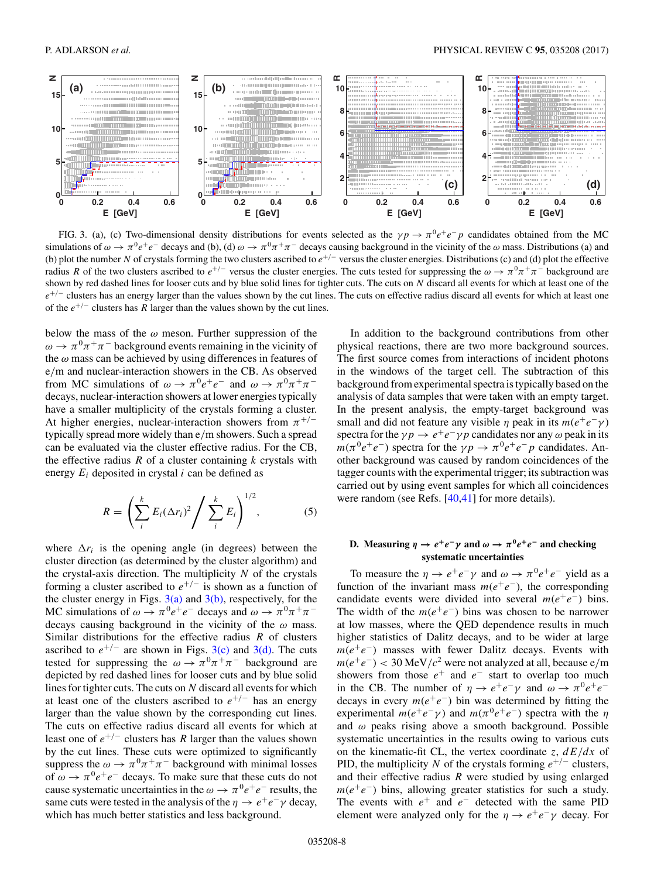<span id="page-7-0"></span>

FIG. 3. (a), (c) Two-dimensional density distributions for events selected as the  $\gamma p \to \pi^0 e^+e^-p$  candidates obtained from the MC simulations of  $\omega \to \pi^0 e^+e^-$  decays and (b), (d)  $\omega \to \pi^0 \pi^+ \pi^-$  decays causing background in the vicinity of the  $\omega$  mass. Distributions (a) and (b) plot the number N of crystals forming the two clusters ascribed to  $e^{+/-}$  versus the cluster energies. Distributions (c) and (d) plot the effective radius R of the two clusters ascribed to  $e^{+/-}$  versus the cluster energies. The cuts tested for suppressing the  $\omega \to \pi^0 \pi^+ \pi^-$  background are shown by red dashed lines for looser cuts and by blue solid lines for tighter cuts. The cuts on  $N$  discard all events for which at least one of the  $e^{+/-}$  clusters has an energy larger than the values shown by the cut lines. The cuts on effective radius discard all events for which at least one of the  $e^{+/-}$  clusters has R larger than the values shown by the cut lines.

below the mass of the  $\omega$  meson. Further suppression of the  $\omega \rightarrow \pi^0 \pi^+ \pi^-$  background events remaining in the vicinity of the  $\omega$  mass can be achieved by using differences in features of e/m and nuclear-interaction showers in the CB. As observed from MC simulations of  $\omega \to \pi^0 e^+e^-$  and  $\omega \to \pi^0 \pi^+ \pi^$ decays, nuclear-interaction showers at lower energies typically have a smaller multiplicity of the crystals forming a cluster. At higher energies, nuclear-interaction showers from  $\pi^{+/-}$ typically spread more widely than e/m showers. Such a spread can be evaluated via the cluster effective radius. For the CB, the effective radius  $R$  of a cluster containing  $k$  crystals with energy  $E_i$  deposited in crystal i can be defined as

$$
R = \left(\sum_{i}^{k} E_i (\Delta r_i)^2 / \sum_{i}^{k} E_i\right)^{1/2}, \tag{5}
$$

where  $\Delta r_i$  is the opening angle (in degrees) between the cluster direction (as determined by the cluster algorithm) and the crystal-axis direction. The multiplicity  $N$  of the crystals forming a cluster ascribed to  $e^{+/-}$  is shown as a function of the cluster energy in Figs.  $3(a)$  and  $3(b)$ , respectively, for the MC simulations of  $\omega \to \pi^0 e^+e^-$  decays and  $\omega \to \pi^0 \pi^+ \pi^$ decays causing background in the vicinity of the  $\omega$  mass. Similar distributions for the effective radius  $R$  of clusters ascribed to  $e^{+/-}$  are shown in Figs. 3(c) and 3(d). The cuts tested for suppressing the  $\omega \rightarrow \pi^0 \pi^+ \pi^-$  background are depicted by red dashed lines for looser cuts and by blue solid lines for tighter cuts. The cuts on  $N$  discard all events for which at least one of the clusters ascribed to  $e^{+/-}$  has an energy larger than the value shown by the corresponding cut lines. The cuts on effective radius discard all events for which at least one of  $e^{+/-}$  clusters has R larger than the values shown by the cut lines. These cuts were optimized to significantly suppress the  $\omega \to \pi^0 \pi^+ \pi^-$  background with minimal losses of  $\omega \to \pi^0 e^+e^-$  decays. To make sure that these cuts do not cause systematic uncertainties in the  $\omega \to \pi^0 e^+e^-$  results, the same cuts were tested in the analysis of the  $\eta \to e^+e^-\gamma$  decay, which has much better statistics and less background.

In addition to the background contributions from other physical reactions, there are two more background sources. The first source comes from interactions of incident photons in the windows of the target cell. The subtraction of this background from experimental spectra is typically based on the analysis of data samples that were taken with an empty target. In the present analysis, the empty-target background was small and did not feature any visible  $\eta$  peak in its  $m(e^+e^-\gamma)$ spectra for the  $\gamma p \to e^+e^-\gamma p$  candidates nor any  $\omega$  peak in its  $m(\pi^0 e^+e^-)$  spectra for the  $\gamma p \to \pi^0 e^+e^-p$  candidates. Another background was caused by random coincidences of the tagger counts with the experimental trigger; its subtraction was carried out by using event samples for which all coincidences were random (see Refs. [\[40,41\]](#page-17-0) for more details).

# **D.** Measuring  $\eta \to e^+e^-\gamma$  and  $\omega \to \pi^0e^+e^-$  and checking **systematic uncertainties**

To measure the  $\eta \to e^+e^-\gamma$  and  $\omega \to \pi^0e^+e^-$  yield as a function of the invariant mass  $m(e^+e^-)$ , the corresponding candidate events were divided into several  $m(e^+e^-)$  bins. The width of the  $m(e^+e^-)$  bins was chosen to be narrower at low masses, where the QED dependence results in much higher statistics of Dalitz decays, and to be wider at large  $m(e^+e^-)$  masses with fewer Dalitz decays. Events with  $m(e^+e^-)$  < 30 MeV/ $c^2$  were not analyzed at all, because e/m showers from those  $e^+$  and  $e^-$  start to overlap too much in the CB. The number of  $\eta \to e^+e^-\gamma$  and  $\omega \to \pi^0e^+e^$ decays in every  $m(e^+e^-)$  bin was determined by fitting the experimental  $m(e^+e^- \gamma)$  and  $m(\pi^0e^+e^-)$  spectra with the  $\eta$ and  $\omega$  peaks rising above a smooth background. Possible systematic uncertainties in the results owing to various cuts on the kinematic-fit CL, the vertex coordinate z,  $dE/dx$  of PID, the multiplicity N of the crystals forming  $e^{+/-}$  clusters, and their effective radius  $R$  were studied by using enlarged  $m(e^+e^-)$  bins, allowing greater statistics for such a study. The events with  $e^+$  and  $e^-$  detected with the same PID element were analyzed only for the  $\eta \to e^+e^-\gamma$  decay. For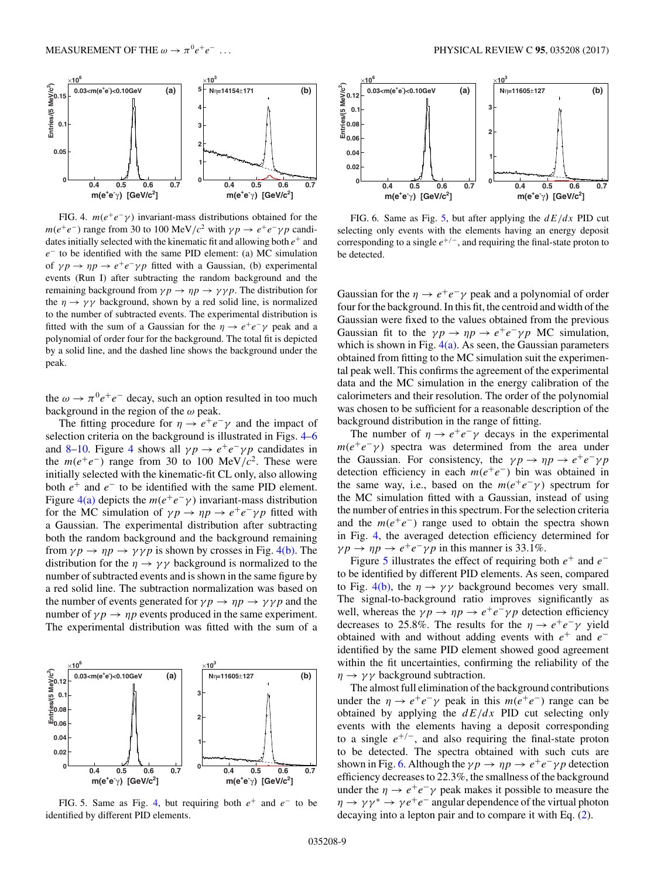<span id="page-8-0"></span>

FIG. 4.  $m(e^+e^- \gamma)$  invariant-mass distributions obtained for the  $m(e^+e^-)$  range from 30 to 100 MeV/c<sup>2</sup> with  $\gamma p \to e^+e^- \gamma p$  candidates initially selected with the kinematic fit and allowing both  $e^+$  and e<sup>−</sup> to be identified with the same PID element: (a) MC simulation of  $\gamma p \to \eta p \to e^+e^-\gamma p$  fitted with a Gaussian, (b) experimental events (Run I) after subtracting the random background and the remaining background from  $\gamma p \to \eta p \to \gamma \gamma p$ . The distribution for the  $\eta \rightarrow \gamma \gamma$  background, shown by a red solid line, is normalized to the number of subtracted events. The experimental distribution is fitted with the sum of a Gaussian for the  $\eta \to e^+e^-\gamma$  peak and a polynomial of order four for the background. The total fit is depicted by a solid line, and the dashed line shows the background under the peak.

the  $\omega \rightarrow \pi^0 e^+e^-$  decay, such an option resulted in too much background in the region of the  $\omega$  peak.

The fitting procedure for  $\eta \to e^+e^-\gamma$  and the impact of selection criteria on the background is illustrated in Figs. 4–6 and [8](#page-9-0)[–10.](#page-10-0) Figure 4 shows all  $\gamma p \to e^+e^-\gamma p$  candidates in the  $m(e^+e^-)$  range from 30 to 100 MeV/ $c^2$ . These were initially selected with the kinematic-fit CL only, also allowing both  $e^+$  and  $e^-$  to be identified with the same PID element. Figure 4(a) depicts the  $m(e^+e^-\gamma)$  invariant-mass distribution for the MC simulation of  $\gamma p \to \eta p \to e^+e^- \gamma p$  fitted with a Gaussian. The experimental distribution after subtracting both the random background and the background remaining from  $\gamma p \to \eta p \to \gamma \gamma p$  is shown by crosses in Fig. 4(b). The distribution for the  $\eta \to \gamma \gamma$  background is normalized to the number of subtracted events and is shown in the same figure by a red solid line. The subtraction normalization was based on the number of events generated for  $\gamma p \to \eta p \to \gamma \gamma p$  and the number of  $\gamma p \to \eta p$  events produced in the same experiment. The experimental distribution was fitted with the sum of a





FIG. 6. Same as Fig. 5, but after applying the  $dE/dx$  PID cut selecting only events with the elements having an energy deposit corresponding to a single  $e^{+/-}$ , and requiring the final-state proton to be detected.

Gaussian for the  $\eta \rightarrow e^+e^-\gamma$  peak and a polynomial of order four for the background. In this fit, the centroid and width of the Gaussian were fixed to the values obtained from the previous Gaussian fit to the  $\gamma p \to \eta p \to e^+e^- \gamma p$  MC simulation, which is shown in Fig.  $4(a)$ . As seen, the Gaussian parameters obtained from fitting to the MC simulation suit the experimental peak well. This confirms the agreement of the experimental data and the MC simulation in the energy calibration of the calorimeters and their resolution. The order of the polynomial was chosen to be sufficient for a reasonable description of the background distribution in the range of fitting.

The number of  $\eta \rightarrow e^+e^-\gamma$  decays in the experimental  $m(e^+e^- \gamma)$  spectra was determined from the area under the Gaussian. For consistency, the  $\gamma p \to \eta p \to e^+e^- \gamma p$ detection efficiency in each  $m(e^+e^-)$  bin was obtained in the same way, i.e., based on the  $m(e^+e^-\gamma)$  spectrum for the MC simulation fitted with a Gaussian, instead of using the number of entries in this spectrum. For the selection criteria and the  $m(e^+e^-)$  range used to obtain the spectra shown in Fig. 4, the averaged detection efficiency determined for  $\gamma p \to \eta p \to e^+e^-\gamma p$  in this manner is 33.1%.

Figure 5 illustrates the effect of requiring both  $e^+$  and  $e^$ to be identified by different PID elements. As seen, compared to Fig. 4(b), the  $\eta \rightarrow \gamma \gamma$  background becomes very small. The signal-to-background ratio improves significantly as well, whereas the  $\gamma p \to \eta p \to e^+e^- \gamma p$  detection efficiency decreases to 25.8%. The results for the  $\eta \to e^+e^-\gamma$  yield obtained with and without adding events with  $e^+$  and  $e^$ identified by the same PID element showed good agreement within the fit uncertainties, confirming the reliability of the  $\eta \rightarrow \gamma \gamma$  background subtraction.

The almost full elimination of the background contributions under the  $\eta \rightarrow e^+e^-\gamma$  peak in this  $m(e^+e^-)$  range can be obtained by applying the  $dE/dx$  PID cut selecting only events with the elements having a deposit corresponding to a single  $e^{+/-}$ , and also requiring the final-state proton to be detected. The spectra obtained with such cuts are shown in Fig. 6. Although the  $\gamma p \to \eta p \to e^+e^- \gamma p$  detection efficiency decreases to 22.3%, the smallness of the background under the  $\eta \rightarrow e^+e^-\gamma$  peak makes it possible to measure the  $\eta \rightarrow \gamma \gamma^* \rightarrow \gamma e^+ e^-$  angular dependence of the virtual photon decaying into a lepton pair and to compare it with Eq. [\(2\)](#page-1-0).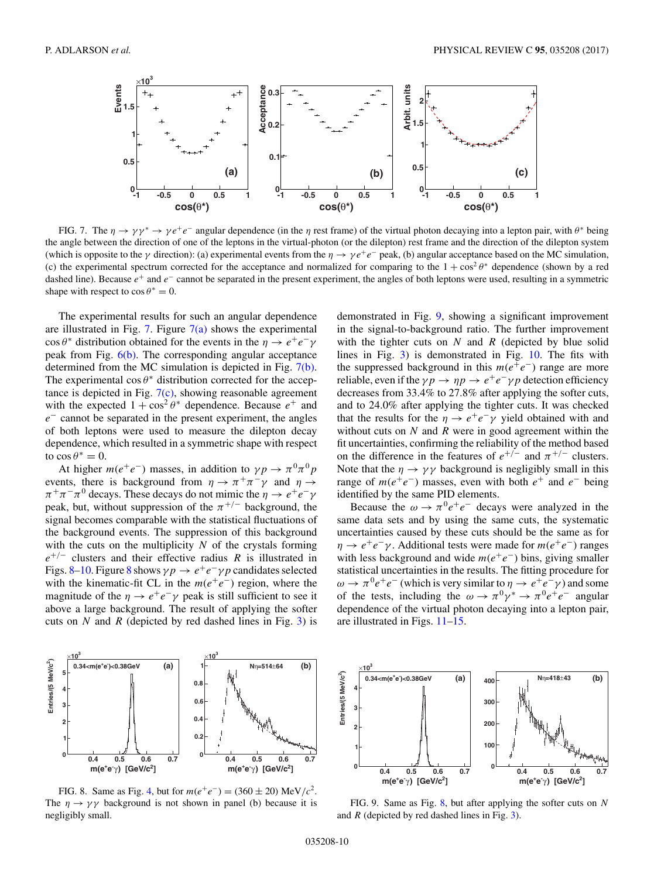<span id="page-9-0"></span>

FIG. 7. The  $\eta \to \gamma \gamma^* \to \gamma e^+ e^-$  angular dependence (in the  $\eta$  rest frame) of the virtual photon decaying into a lepton pair, with  $\theta^*$  being the angle between the direction of one of the leptons in the virtual-photon (or the dilepton) rest frame and the direction of the dilepton system (which is opposite to the  $\gamma$  direction): (a) experimental events from the  $\eta \to \gamma e^+e^-$  peak, (b) angular acceptance based on the MC simulation, (c) the experimental spectrum corrected for the acceptance and normalized for comparing to the  $1 + \cos^2 \theta^*$  dependence (shown by a red dashed line). Because  $e^+$  and  $e^-$  cannot be separated in the present experiment, the angles of both leptons were used, resulting in a symmetric shape with respect to  $\cos \theta^* = 0$ .

The experimental results for such an angular dependence are illustrated in Fig. 7. Figure  $7(a)$  shows the experimental cos  $\theta^*$  distribution obtained for the events in the  $\eta \to e^+e^-\gamma$ peak from Fig. [6\(b\).](#page-8-0) The corresponding angular acceptance determined from the MC simulation is depicted in Fig. 7(b). The experimental  $\cos \theta^*$  distribution corrected for the acceptance is depicted in Fig.  $7(c)$ , showing reasonable agreement with the expected  $1 + \cos^2 \theta^*$  dependence. Because  $e^+$  and  $e^-$  cannot be separated in the present experiment, the angles of both leptons were used to measure the dilepton decay dependence, which resulted in a symmetric shape with respect to  $\cos \theta^* = 0$ .

At higher  $m(e^+e^-)$  masses, in addition to  $\gamma p \to \pi^0 \pi^0 p$ events, there is background from  $\eta \to \pi^+ \pi^- \gamma$  and  $\eta \to$  $\pi^+\pi^-\pi^0$  decays. These decays do not mimic the  $\eta \to e^+e^-\gamma$ peak, but, without suppression of the  $\pi^{+/-}$  background, the signal becomes comparable with the statistical fluctuations of the background events. The suppression of this background with the cuts on the multiplicity  $N$  of the crystals forming  $e^{+/-}$  clusters and their effective radius R is illustrated in Figs. 8[–10.](#page-10-0) Figure 8 shows  $\gamma p \to e^+e^- \gamma p$  candidates selected with the kinematic-fit CL in the  $m(e^+e^-)$  region, where the magnitude of the  $\eta \to e^+e^-\gamma$  peak is still sufficient to see it above a large background. The result of applying the softer cuts on  $N$  and  $R$  (depicted by red dashed lines in Fig. [3\)](#page-7-0) is

demonstrated in Fig. 9, showing a significant improvement in the signal-to-background ratio. The further improvement with the tighter cuts on  $N$  and  $R$  (depicted by blue solid lines in Fig. [3\)](#page-7-0) is demonstrated in Fig. [10.](#page-10-0) The fits with the suppressed background in this  $m(e^+e^-)$  range are more reliable, even if the  $\gamma p \to np \to e^+e^- \gamma p$  detection efficiency decreases from 33.4% to 27.8% after applying the softer cuts, and to 24.0% after applying the tighter cuts. It was checked that the results for the  $\eta \to e^+e^-\gamma$  yield obtained with and without cuts on  $N$  and  $R$  were in good agreement within the fit uncertainties, confirming the reliability of the method based on the difference in the features of  $e^{+/-}$  and  $\pi^{+/-}$  clusters. Note that the  $\eta \rightarrow \gamma \gamma$  background is negligibly small in this range of  $m(e^+e^-)$  masses, even with both  $e^+$  and  $e^-$  being identified by the same PID elements.

Because the  $\omega \rightarrow \pi^0 e^+e^-$  decays were analyzed in the same data sets and by using the same cuts, the systematic uncertainties caused by these cuts should be the same as for  $\eta \to e^+e^-\gamma$ . Additional tests were made for  $m(e^+e^-)$  ranges with less background and wide  $m(e^+e^-)$  bins, giving smaller statistical uncertainties in the results. The fitting procedure for  $\omega \to \pi^0 e^+e^-$  (which is very similar to  $\eta \to e^+e^-\gamma$ ) and some of the tests, including the  $\omega \to \pi^0 \gamma^* \to \pi^0 e^+ e^-$  angular dependence of the virtual photon decaying into a lepton pair, are illustrated in Figs. [11](#page-10-0)[–15.](#page-11-0)



FIG. 8. Same as Fig. [4,](#page-8-0) but for  $m(e^+e^-) = (360 \pm 20) \text{ MeV}/c^2$ . The  $\eta \rightarrow \gamma \gamma$  background is not shown in panel (b) because it is negligibly small.



FIG. 9. Same as Fig.  $8$ , but after applying the softer cuts on N and  $R$  (depicted by red dashed lines in Fig. [3\)](#page-7-0).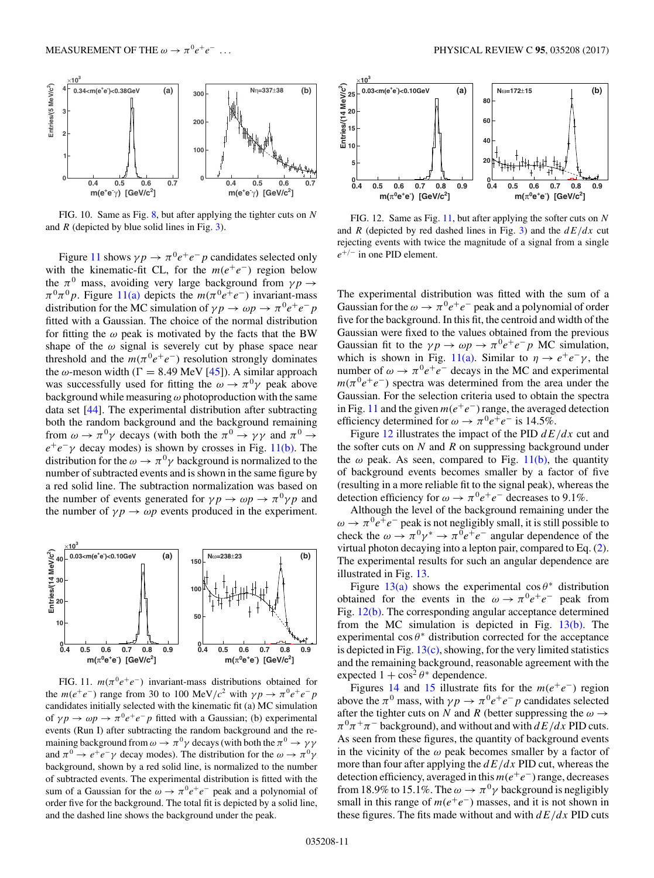<span id="page-10-0"></span>

FIG. 10. Same as Fig.  $8$ , but after applying the tighter cuts on N and  $R$  (depicted by blue solid lines in Fig. [3\)](#page-7-0).

Figure 11 shows  $\gamma p \to \pi^0 e^+e^-p$  candidates selected only with the kinematic-fit CL, for the  $m(e^+e^-)$  region below the  $\pi^0$  mass, avoiding very large background from  $\gamma p \rightarrow$  $\pi^{0}\pi^{0}p$ . Figure 11(a) depicts the  $m(\pi^{0}e^{+}e^{-})$  invariant-mass distribution for the MC simulation of  $\gamma p \to \omega p \to \pi^0 e^+ e^- p$ fitted with a Gaussian. The choice of the normal distribution for fitting the  $\omega$  peak is motivated by the facts that the BW shape of the  $\omega$  signal is severely cut by phase space near threshold and the  $m(\pi^0 e^+e^-)$  resolution strongly dominates the  $\omega$ -meson width ( $\Gamma = 8.49$  MeV [\[45\]](#page-17-0)). A similar approach was successfully used for fitting the  $\omega \rightarrow \pi^0 \gamma$  peak above background while measuring  $\omega$  photoproduction with the same data set [\[44\]](#page-17-0). The experimental distribution after subtracting both the random background and the background remaining from  $\omega \to \pi^0 \gamma$  decays (with both the  $\pi^0 \to \gamma \gamma$  and  $\pi^0 \to$  $e^+e^-$ γ decay modes) is shown by crosses in Fig. 11(b). The distribution for the  $\omega \rightarrow \pi^0 \gamma$  background is normalized to the number of subtracted events and is shown in the same figure by a red solid line. The subtraction normalization was based on the number of events generated for  $\gamma p \to \omega p \to \pi^0 \gamma p$  and the number of  $\gamma p \to \omega p$  events produced in the experiment.



FIG. 11.  $m(\pi^0 e^+e^-)$  invariant-mass distributions obtained for the  $m(e^+e^-)$  range from 30 to 100 MeV/c<sup>2</sup> with  $\gamma p \to \pi^0 e^+e^-p$ candidates initially selected with the kinematic fit (a) MC simulation of  $\gamma p \to \omega p \to \pi^0 e^+ e^- p$  fitted with a Gaussian; (b) experimental events (Run I) after subtracting the random background and the remaining background from  $\omega \to \pi^0 \gamma$  decays (with both the  $\pi^0 \to \gamma \gamma$ and  $\pi^0 \to e^+e^-\gamma$  decay modes). The distribution for the  $\omega \to \pi^0\gamma$ background, shown by a red solid line, is normalized to the number of subtracted events. The experimental distribution is fitted with the sum of a Gaussian for the  $\omega \to \pi^0 e^+e^-$  peak and a polynomial of order five for the background. The total fit is depicted by a solid line, and the dashed line shows the background under the peak.



FIG. 12. Same as Fig. 11, but after applying the softer cuts on  $N$ and R (depicted by red dashed lines in Fig. [3\)](#page-7-0) and the  $dE/dx$  cut rejecting events with twice the magnitude of a signal from a single  $e^{+/-}$  in one PID element.

The experimental distribution was fitted with the sum of a Gaussian for the  $\omega \rightarrow \pi^0 e^+e^-$  peak and a polynomial of order five for the background. In this fit, the centroid and width of the Gaussian were fixed to the values obtained from the previous Gaussian fit to the  $\gamma p \to \omega p \to \pi^0 e^+ e^- p$  MC simulation, which is shown in Fig. 11(a). Similar to  $\eta \rightarrow e^+e^-\gamma$ , the number of  $\omega \rightarrow \pi^0 e^+ e^-$  decays in the MC and experimental  $m(\pi^0 e^+e^-)$  spectra was determined from the area under the Gaussian. For the selection criteria used to obtain the spectra in Fig. 11 and the given  $m(e^+e^-)$  range, the averaged detection efficiency determined for  $\omega \to \pi^0 e^+e^-$  is 14.5%.

Figure 12 illustrates the impact of the PID  $dE/dx$  cut and the softer cuts on  $N$  and  $R$  on suppressing background under the  $\omega$  peak. As seen, compared to Fig. 11(b), the quantity of background events becomes smaller by a factor of five (resulting in a more reliable fit to the signal peak), whereas the detection efficiency for  $\omega \to \pi^0 e^+e^-$  decreases to 9.1%.

Although the level of the background remaining under the  $\omega \rightarrow \pi^0 e^+e^-$  peak is not negligibly small, it is still possible to check the  $\omega \to \pi^0 \gamma^* \to \pi^0 e^+ e^-$  angular dependence of the virtual photon decaying into a lepton pair, compared to Eq. [\(2\)](#page-1-0). The experimental results for such an angular dependence are illustrated in Fig. [13.](#page-11-0)

Figure [13\(a\)](#page-11-0) shows the experimental  $\cos \theta^*$  distribution obtained for the events in the  $\omega \rightarrow \pi^0 e^+e^-$  peak from Fig. 12(b). The corresponding angular acceptance determined from the MC simulation is depicted in Fig.  $13(b)$ . The experimental  $\cos \theta^*$  distribution corrected for the acceptance is depicted in Fig. [13\(c\),](#page-11-0) showing, for the very limited statistics and the remaining background, reasonable agreement with the expected  $1 + \cos^2 \theta^*$  dependence.

Figures [14](#page-11-0) and [15](#page-11-0) illustrate fits for the  $m(e^+e^-)$  region above the  $\pi^0$  mass, with  $\gamma p \to \pi^0 e^+ e^- p$  candidates selected after the tighter cuts on N and R (better suppressing the  $\omega \rightarrow$  $\pi^0 \pi^+ \pi^-$  background), and without and with  $dE/dx$  PID cuts. As seen from these figures, the quantity of background events in the vicinity of the  $\omega$  peak becomes smaller by a factor of more than four after applying the  $dE/dx$  PID cut, whereas the detection efficiency, averaged in this  $m(e^+e^-)$  range, decreases from 18.9% to 15.1%. The  $\omega \to \pi^0 \gamma$  background is negligibly small in this range of  $m(e^+e^-)$  masses, and it is not shown in these figures. The fits made without and with  $dE/dx$  PID cuts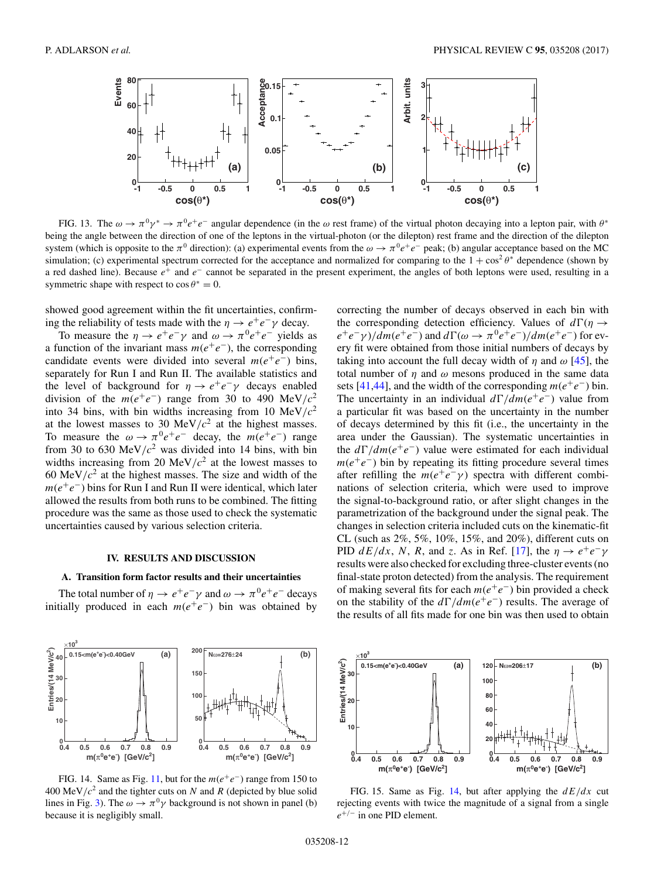<span id="page-11-0"></span>

FIG. 13. The  $\omega \to \pi^0 \gamma^* \to \pi^0 e^+e^-$  angular dependence (in the  $\omega$  rest frame) of the virtual photon decaying into a lepton pair, with  $\theta^*$ being the angle between the direction of one of the leptons in the virtual-photon (or the dilepton) rest frame and the direction of the dilepton system (which is opposite to the  $\pi^0$  direction): (a) experimental events from the  $\omega \to \pi^0 e^+e^-$  peak; (b) angular acceptance based on the MC simulation; (c) experimental spectrum corrected for the acceptance and normalized for comparing to the  $1 + \cos^2 \theta^*$  dependence (shown by a red dashed line). Because  $e^+$  and  $e^-$  cannot be separated in the present experiment, the angles of both leptons were used, resulting in a symmetric shape with respect to  $\cos \theta^* = 0$ .

showed good agreement within the fit uncertainties, confirming the reliability of tests made with the  $\eta \to e^+e^-\gamma$  decay.

To measure the  $\eta \to e^+e^-\gamma$  and  $\omega \to \pi^0e^+e^-$  yields as a function of the invariant mass  $m(e^+e^-)$ , the corresponding candidate events were divided into several  $m(e^+e^-)$  bins, separately for Run I and Run II. The available statistics and the level of background for  $\eta \to e^+e^-\gamma$  decays enabled division of the  $m(e^+e^-)$  range from 30 to 490 MeV/ $c^2$ into 34 bins, with bin widths increasing from 10 MeV/ $c<sup>2</sup>$ at the lowest masses to 30 MeV/ $c<sup>2</sup>$  at the highest masses. To measure the  $\omega \rightarrow \pi^0 e^+e^-$  decay, the  $m(e^+e^-)$  range from 30 to 630 MeV/ $c<sup>2</sup>$  was divided into 14 bins, with bin widths increasing from 20 MeV/ $c<sup>2</sup>$  at the lowest masses to 60 MeV/ $c<sup>2</sup>$  at the highest masses. The size and width of the  $m(e^+e^-)$  bins for Run I and Run II were identical, which later allowed the results from both runs to be combined. The fitting procedure was the same as those used to check the systematic uncertainties caused by various selection criteria.

#### **IV. RESULTS AND DISCUSSION**

## **A. Transition form factor results and their uncertainties**

The total number of  $\eta \to e^+e^-\gamma$  and  $\omega \to \pi^0e^+e^-$  decays initially produced in each  $m(e^+e^-)$  bin was obtained by



FIG. 14. Same as Fig. [11,](#page-10-0) but for the  $m(e^+e^-)$  range from 150 to 400 MeV/ $c<sup>2</sup>$  and the tighter cuts on N and R (depicted by blue solid lines in Fig. [3\)](#page-7-0). The  $\omega \to \pi^0 \gamma$  background is not shown in panel (b) because it is negligibly small.

correcting the number of decays observed in each bin with the corresponding detection efficiency. Values of  $d\Gamma(\eta \rightarrow$  $e^+e^-\gamma$ )/dm( $e^+e^-$ ) and  $d\Gamma(\omega \to \pi^0e^+e^-)$ /dm( $e^+e^-$ ) for every fit were obtained from those initial numbers of decays by taking into account the full decay width of  $\eta$  and  $\omega$  [\[45\]](#page-17-0), the total number of  $\eta$  and  $\omega$  mesons produced in the same data sets [\[41,44\]](#page-17-0), and the width of the corresponding  $m(e^+e^-)$  bin. The uncertainty in an individual  $d\Gamma/dm(e^+e^-)$  value from a particular fit was based on the uncertainty in the number of decays determined by this fit (i.e., the uncertainty in the area under the Gaussian). The systematic uncertainties in the  $d\Gamma/dm(e^+e^-)$  value were estimated for each individual  $m(e^+e^-)$  bin by repeating its fitting procedure several times after refilling the  $m(e^+e^- \gamma)$  spectra with different combinations of selection criteria, which were used to improve the signal-to-background ratio, or after slight changes in the parametrization of the background under the signal peak. The changes in selection criteria included cuts on the kinematic-fit CL (such as 2%, 5%, 10%, 15%, and 20%), different cuts on PID  $dE/dx$ , N, R, and z. As in Ref. [\[17\]](#page-17-0), the  $\eta \rightarrow e^+e^-\gamma$ results were also checked for excluding three-cluster events (no final-state proton detected) from the analysis. The requirement of making several fits for each  $m(e^+e^-)$  bin provided a check on the stability of the  $d\Gamma/dm(e^+e^-)$  results. The average of the results of all fits made for one bin was then used to obtain



FIG. 15. Same as Fig. 14, but after applying the  $dE/dx$  cut rejecting events with twice the magnitude of a signal from a single  $e^{+/-}$  in one PID element.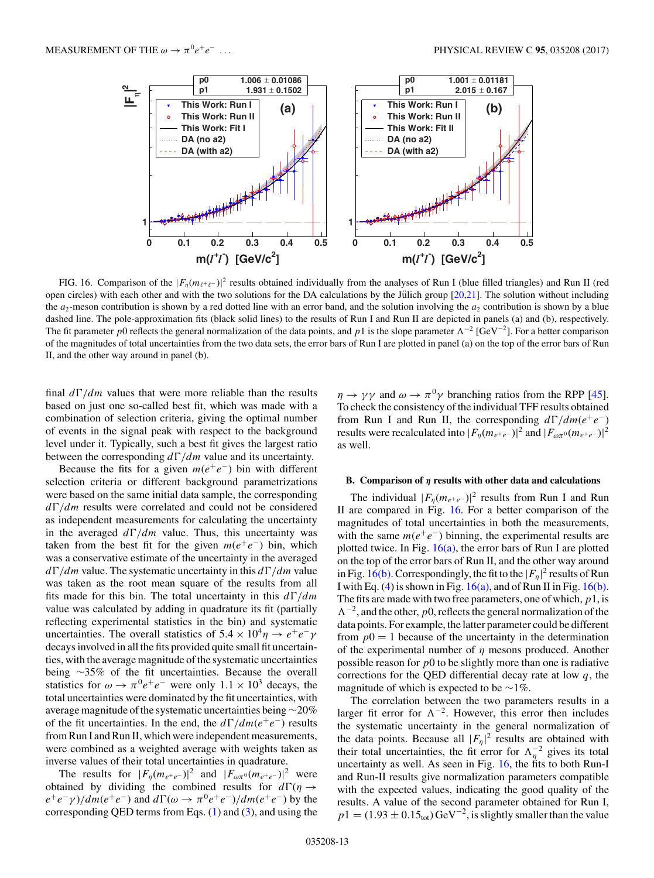<span id="page-12-0"></span>

FIG. 16. Comparison of the  $|F_{\eta}(m_{\ell^+\ell^-})|^2$  results obtained individually from the analyses of Run I (blue filled triangles) and Run II (red open circles) with each other and with the two solutions for the DA calculations by the Jülich group  $[20,21]$  $[20,21]$ . The solution without including the  $a_2$ -meson contribution is shown by a red dotted line with an error band, and the solution involving the  $a_2$  contribution is shown by a blue dashed line. The pole-approximation fits (black solid lines) to the results of Run I and Run II are depicted in panels (a) and (b), respectively. The fit parameter p0 reflects the general normalization of the data points, and p1 is the slope parameter  $\Lambda^{-2}$  [GeV<sup>-2</sup>]. For a better comparison of the magnitudes of total uncertainties from the two data sets, the error bars of Run I are plotted in panel (a) on the top of the error bars of Run II, and the other way around in panel (b).

final  $d\Gamma/dm$  values that were more reliable than the results based on just one so-called best fit, which was made with a combination of selection criteria, giving the optimal number of events in the signal peak with respect to the background level under it. Typically, such a best fit gives the largest ratio between the corresponding  $d\Gamma/dm$  value and its uncertainty.

Because the fits for a given  $m(e^+e^-)$  bin with different selection criteria or different background parametrizations were based on the same initial data sample, the corresponding  $d\Gamma/dm$  results were correlated and could not be considered as independent measurements for calculating the uncertainty in the averaged  $d\Gamma/dm$  value. Thus, this uncertainty was taken from the best fit for the given  $m(e^+e^-)$  bin, which was a conservative estimate of the uncertainty in the averaged  $d\Gamma/dm$  value. The systematic uncertainty in this  $d\Gamma/dm$  value was taken as the root mean square of the results from all fits made for this bin. The total uncertainty in this  $d\Gamma/dm$ value was calculated by adding in quadrature its fit (partially reflecting experimental statistics in the bin) and systematic uncertainties. The overall statistics of  $5.4 \times 10^4 \eta \rightarrow e^+e^-\gamma$ decays involved in all the fits provided quite small fit uncertainties, with the average magnitude of the systematic uncertainties being ∼35% of the fit uncertainties. Because the overall statistics for  $\omega \to \pi^0 e^+e^-$  were only  $1.1 \times 10^3$  decays, the total uncertainties were dominated by the fit uncertainties, with average magnitude of the systematic uncertainties being∼20% of the fit uncertainties. In the end, the  $d\Gamma/dm(e^+e^-)$  results from Run I and Run II, which were independent measurements, were combined as a weighted average with weights taken as inverse values of their total uncertainties in quadrature.

The results for  $|F_{\eta}(m_{e^+e^-})|^2$  and  $|F_{\omega\pi^0}(m_{e^+e^-})|^2$  were obtained by dividing the combined results for  $d\Gamma(\eta \rightarrow$  $e^+e^-\gamma$ )/dm( $e^+e^-$ ) and  $d\Gamma(\omega \to \pi^0e^+e^-)$ /dm( $e^+e^-$ ) by the corresponding QED terms from Eqs.  $(1)$  and  $(3)$ , and using the  $\eta \rightarrow \gamma \gamma$  and  $\omega \rightarrow \pi^0 \gamma$  branching ratios from the RPP [\[45\]](#page-17-0). To check the consistency of the individual TFF results obtained from Run I and Run II, the corresponding  $d\Gamma/dm(e^+e^-)$ results were recalculated into  $|F_{\eta}(m_{e^+e^-})|^2$  and  $|F_{\omega\pi^0}(m_{e^+e^-})|^2$ as well.

## **B. Comparison of** *η* **results with other data and calculations**

The individual  $|F_{\eta}(m_{e^+e^-})|^2$  results from Run I and Run II are compared in Fig. 16. For a better comparison of the magnitudes of total uncertainties in both the measurements, with the same  $m(e^+e^-)$  binning, the experimental results are plotted twice. In Fig.  $16(a)$ , the error bars of Run I are plotted on the top of the error bars of Run II, and the other way around in Fig. 16(b). Correspondingly, the fit to the  $|F_{\eta}|^2$  results of Run I with Eq. [\(4\)](#page-1-0) is shown in Fig.  $16(a)$ , and of Run II in Fig.  $16(b)$ . The fits are made with two free parameters, one of which,  $p_1$ , is  $\Lambda^{-2}$ , and the other, p0, reflects the general normalization of the data points. For example, the latter parameter could be different from  $p0 = 1$  because of the uncertainty in the determination of the experimental number of  $\eta$  mesons produced. Another possible reason for  $p0$  to be slightly more than one is radiative corrections for the QED differential decay rate at low  $q$ , the magnitude of which is expected to be ∼1%.

The correlation between the two parameters results in a larger fit error for  $\Lambda^{-2}$ . However, this error then includes the systematic uncertainty in the general normalization of the data points. Because all  $|F_{\eta}|^2$  results are obtained with their total uncertainties, the fit error for  $\Lambda_{\eta}^{-2}$  gives its total uncertainty as well. As seen in Fig. 16, the fits to both Run-I and Run-II results give normalization parameters compatible with the expected values, indicating the good quality of the results. A value of the second parameter obtained for Run I,  $p1 = (1.93 \pm 0.15<sub>tot</sub>) \text{ GeV}^{-2}$ , is slightly smaller than the value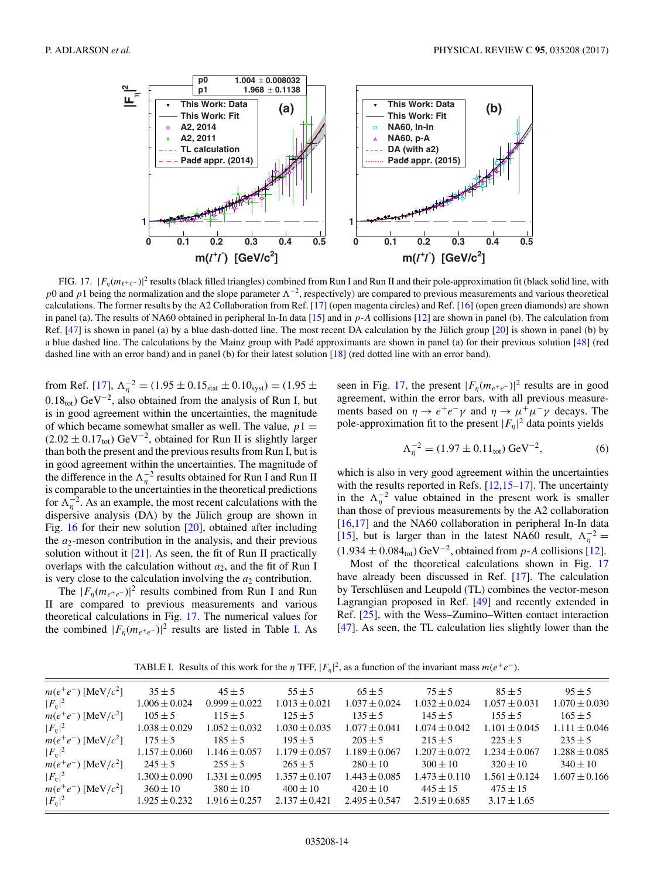

FIG. 17.  $|F_{\eta}(m_{\ell+\ell-})|^2$  results (black filled triangles) combined from Run I and Run II and their pole-approximation fit (black solid line, with p0 and p1 being the normalization and the slope parameter  $\Lambda^{-2}$ , respectively) are compared to previous measurements and various theoretical calculations. The former results by the A2 Collaboration from Ref. [\[17\]](#page-17-0) (open magenta circles) and Ref. [\[16\]](#page-17-0) (open green diamonds) are shown in panel (a). The results of NA60 obtained in peripheral In-In data [\[15\]](#page-17-0) and in p-A collisions [\[12\]](#page-17-0) are shown in panel (b). The calculation from Ref.  $[47]$  is shown in panel (a) by a blue dash-dotted line. The most recent DA calculation by the Jülich group  $[20]$  $[20]$  is shown in panel (b) by a blue dashed line. The calculations by the Mainz group with Padé approximants are shown in panel (a) for their previous solution  $[48]$  $[48]$  (red dashed line with an error band) and in panel (b) for their latest solution [\[18\]](#page-17-0) (red dotted line with an error band).

from Ref. [\[17\]](#page-17-0),  $\Lambda_{\eta}^{-2} = (1.95 \pm 0.15_{stat} \pm 0.10_{syst}) = (1.95 \pm 0.15_{syst})$  $0.18_{\text{tot}}$ ) GeV<sup>-2</sup>, also obtained from the analysis of Run I, but is in good agreement within the uncertainties, the magnitude of which became somewhat smaller as well. The value,  $p1 =$  $(2.02 \pm 0.17_{\text{tot}}) \text{ GeV}^{-2}$ , obtained for Run II is slightly larger than both the present and the previous results from Run I, but is in good agreement within the uncertainties. The magnitude of the difference in the  $\Lambda_{\eta}^{-2}$  results obtained for Run I and Run II is comparable to the uncertainties in the theoretical predictions for  $\Lambda_{\eta}^{-2}$ . As an example, the most recent calculations with the dispersive analysis (DA) by the Jülich group are shown in Fig. [16](#page-12-0) for their new solution [\[20\]](#page-17-0), obtained after including the  $a_2$ -meson contribution in the analysis, and their previous solution without it  $[21]$ . As seen, the fit of Run II practically overlaps with the calculation without  $a_2$ , and the fit of Run I is very close to the calculation involving the  $a_2$  contribution.

The  $|F_{\eta}(m_{e^+e^-})|^2$  results combined from Run I and Run II are compared to previous measurements and various theoretical calculations in Fig. 17. The numerical values for the combined  $|F_{\eta}(m_{e^+e^-})|^2$  results are listed in Table I. As

seen in Fig. 17, the present  $|F_{\eta}(m_{e^+e^-})|^2$  results are in good agreement, within the error bars, with all previous measurements based on  $\eta \to e^+e^-\gamma$  and  $\eta \to \mu^+\mu^-\gamma$  decays. The pole-approximation fit to the present  $|F_{\eta}|^2$  data points yields

$$
\Lambda_{\eta}^{-2} = (1.97 \pm 0.11_{\text{tot}}) \,\text{GeV}^{-2},\tag{6}
$$

which is also in very good agreement within the uncertainties with the results reported in Refs.  $[12,15-17]$ . The uncertainty in the  $\Lambda_{\eta}^{-2}$  value obtained in the present work is smaller than those of previous measurements by the A2 collaboration [\[16,17\]](#page-17-0) and the NA60 collaboration in peripheral In-In data [\[15\]](#page-17-0), but is larger than in the latest NA60 result,  $\Lambda_{\eta}^{-2} =$  $(1.934 \pm 0.084<sub>tot</sub>) \text{ GeV}^{-2}$ , obtained from p-A collisions [\[12\]](#page-17-0).

Most of the theoretical calculations shown in Fig. 17 have already been discussed in Ref. [\[17\]](#page-17-0). The calculation by Terschlüsen and Leupold (TL) combines the vector-meson Lagrangian proposed in Ref. [\[49\]](#page-17-0) and recently extended in Ref. [\[25\]](#page-17-0), with the Wess–Zumino–Witten contact interaction [\[47\]](#page-17-0). As seen, the TL calculation lies slightly lower than the

TABLE I. Results of this work for the  $\eta$  TFF,  $|F_{\eta}|^2$ , as a function of the invariant mass  $m(e^+e^-)$ .

| $95 \pm 5$                             |
|----------------------------------------|
| $1.070 \pm 0.030$<br>$1.057 \pm 0.031$ |
| $165 \pm 5$                            |
| $1.101 \pm 0.045$<br>$1.111 \pm 0.046$ |
| $235 \pm 5$                            |
| $1.234 \pm 0.067$<br>$1.288 \pm 0.085$ |
| $340 \pm 10$                           |
| $1.607 \pm 0.166$<br>$1.561 \pm 0.124$ |
|                                        |
|                                        |
| $3.17 \pm 1.65$                        |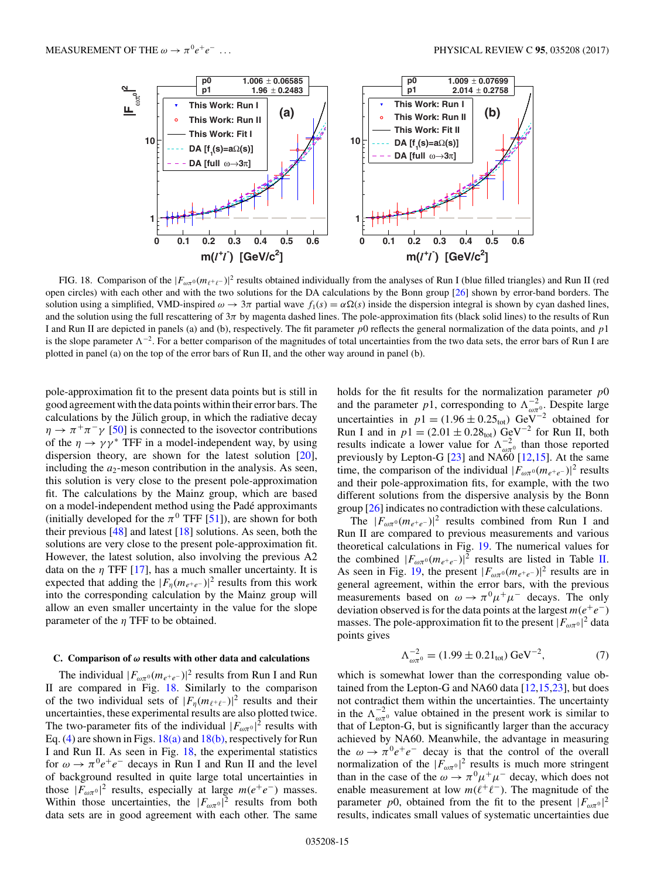

FIG. 18. Comparison of the  $|F_{\omega\pi^0}(m_{\ell^+\ell^-})|^2$  results obtained individually from the analyses of Run I (blue filled triangles) and Run II (red open circles) with each other and with the two solutions for the DA calculations by the Bonn group [\[26\]](#page-17-0) shown by error-band borders. The solution using a simplified, VMD-inspired  $\omega \to 3\pi$  partial wave  $f_1(s) = \alpha \Omega(s)$  inside the dispersion integral is shown by cyan dashed lines, and the solution using the full rescattering of  $3\pi$  by magenta dashed lines. The pole-approximation fits (black solid lines) to the results of Run I and Run II are depicted in panels (a) and (b), respectively. The fit parameter  $p0$  reflects the general normalization of the data points, and  $p1$ is the slope parameter  $\Lambda^{-2}$ . For a better comparison of the magnitudes of total uncertainties from the two data sets, the error bars of Run I are plotted in panel (a) on the top of the error bars of Run II, and the other way around in panel (b).

pole-approximation fit to the present data points but is still in good agreement with the data points within their error bars. The calculations by the Jülich group, in which the radiative decay  $\eta \to \pi^+\pi^-\gamma$  [\[50\]](#page-17-0) is connected to the isovector contributions of the  $\eta \rightarrow \gamma \gamma^*$  TFF in a model-independent way, by using dispersion theory, are shown for the latest solution [\[20\]](#page-17-0), including the  $a_2$ -meson contribution in the analysis. As seen, this solution is very close to the present pole-approximation fit. The calculations by the Mainz group, which are based on a model-independent method using the Pade approximants ´ (initially developed for the  $\pi^0$  TFF [\[51\]](#page-17-0)), are shown for both their previous  $[48]$  and latest  $[18]$  solutions. As seen, both the solutions are very close to the present pole-approximation fit. However, the latest solution, also involving the previous A2 data on the  $\eta$  TFF [\[17\]](#page-17-0), has a much smaller uncertainty. It is expected that adding the  $|F_{\eta}(m_{e^+e^-})|^2$  results from this work into the corresponding calculation by the Mainz group will allow an even smaller uncertainty in the value for the slope parameter of the  $\eta$  TFF to be obtained.

#### **C. Comparison of** *ω* **results with other data and calculations**

The individual  $|F_{\omega\pi^0}(m_{e^+e^-})|^2$  results from Run I and Run II are compared in Fig. 18. Similarly to the comparison of the two individual sets of  $|F_{\eta}(m_{\ell^+\ell^-})|^2$  results and their uncertainties, these experimental results are also plotted twice. The two-parameter fits of the individual  $|F_{\omega\pi^0}|^2$  results with Eq. [\(4\)](#page-1-0) are shown in Figs.  $18(a)$  and  $18(b)$ , respectively for Run I and Run II. As seen in Fig. 18, the experimental statistics for  $\omega \rightarrow \pi^0 e^+e^-$  decays in Run I and Run II and the level of background resulted in quite large total uncertainties in those  $|F_{\omega\pi^0}|^2$  results, especially at large  $m(e^+e^-)$  masses. Within those uncertainties, the  $|F_{\omega\pi^0}|^2$  results from both data sets are in good agreement with each other. The same

holds for the fit results for the normalization parameter  $p0$ and the parameter p1, corresponding to  $\Lambda_{\omega\pi^0}^{-2}$ . Despite large uncertainties in  $p1 = (1.96 \pm 0.25<sub>tot</sub>)$  GeV<sup>-2</sup> obtained for Run I and in  $p1 = (2.01 \pm 0.28<sub>tot</sub>) \text{ GeV}^{-2}$  for Run II, both results indicate a lower value for  $\Lambda_{\omega\pi^0}^{-2}$  than those reported previously by Lepton-G  $[23]$  and NA $\tilde{60}$   $[12,15]$ . At the same time, the comparison of the individual  $|F_{\omega\pi^0}(m_{e^+e^-})|^2$  results and their pole-approximation fits, for example, with the two different solutions from the dispersive analysis by the Bonn group [\[26\]](#page-17-0) indicates no contradiction with these calculations.

The  $|F_{\omega\pi^0}(m_{e^+e^-})|^2$  results combined from Run I and Run II are compared to previous measurements and various theoretical calculations in Fig. [19.](#page-15-0) The numerical values for the combined  $|F_{\omega\pi^0}(m_{e^+e^-})|^2$  results are listed in Table [II.](#page-15-0) As seen in Fig. [19,](#page-15-0) the present  $|F_{\omega\pi^0}(m_{e^+e^-})|^2$  results are in general agreement, within the error bars, with the previous measurements based on  $\omega \to \pi^0 \mu^+ \mu^-$  decays. The only deviation observed is for the data points at the largest  $m(e^+e^-)$ masses. The pole-approximation fit to the present  $|F_{\omega\pi^0}|^2$  data points gives

$$
\Lambda_{\omega\pi^0}^{-2} = (1.99 \pm 0.21_{\text{tot}}) \,\text{GeV}^{-2},\tag{7}
$$

which is somewhat lower than the corresponding value obtained from the Lepton-G and NA60 data [\[12,15,23\]](#page-17-0), but does not contradict them within the uncertainties. The uncertainty in the  $\Lambda_{\omega\pi^0}^{-2}$  value obtained in the present work is similar to that of Lepton-G, but is significantly larger than the accuracy achieved by NA60. Meanwhile, the advantage in measuring the  $\omega \rightarrow \pi^0 e^+e^-$  decay is that the control of the overall normalization of the  $|F_{\omega\pi^0}|^2$  results is much more stringent than in the case of the  $\omega \to \pi^0 \mu^+ \mu^-$  decay, which does not enable measurement at low  $m(\ell^+\ell^-)$ . The magnitude of the parameter p0, obtained from the fit to the present  $|F_{\omega\pi^0}|^2$ results, indicates small values of systematic uncertainties due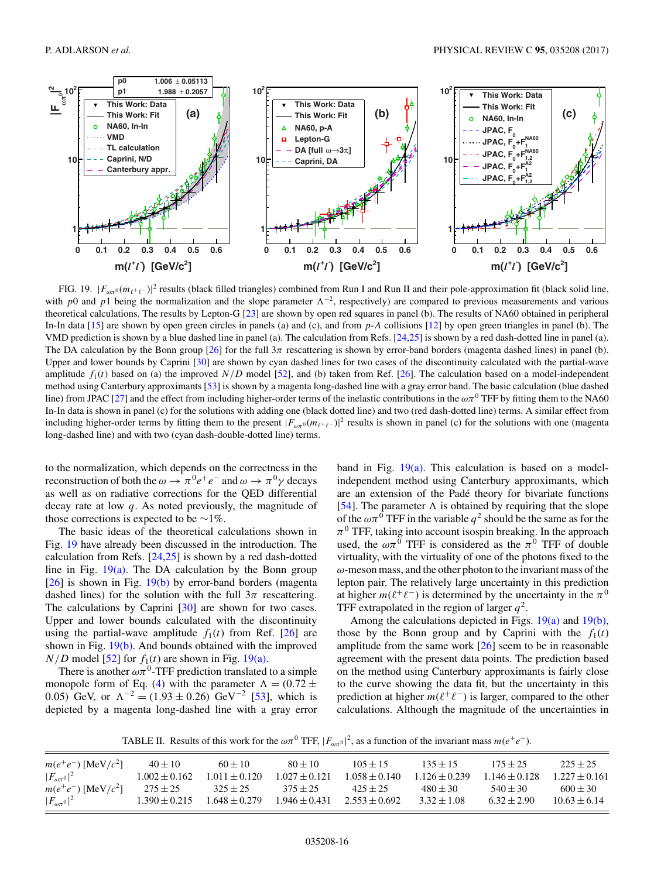<span id="page-15-0"></span>

FIG. 19.  $|F_{\omega\pi^0}(m_{\ell^+\ell^-})|^2$  results (black filled triangles) combined from Run I and Run II and their pole-approximation fit (black solid line, with p0 and p1 being the normalization and the slope parameter  $\Lambda^{-2}$ , respectively) are compared to previous measurements and various theoretical calculations. The results by Lepton-G [\[23\]](#page-17-0) are shown by open red squares in panel (b). The results of NA60 obtained in peripheral In-In data [\[15\]](#page-17-0) are shown by open green circles in panels (a) and (c), and from p-A collisions [\[12\]](#page-17-0) by open green triangles in panel (b). The VMD prediction is shown by a blue dashed line in panel (a). The calculation from Refs. [\[24,25\]](#page-17-0) is shown by a red dash-dotted line in panel (a). The DA calculation by the Bonn group [\[26\]](#page-17-0) for the full  $3\pi$  rescattering is shown by error-band borders (magenta dashed lines) in panel (b). Upper and lower bounds by Caprini [\[30\]](#page-17-0) are shown by cyan dashed lines for two cases of the discontinuity calculated with the partial-wave amplitude  $f_1(t)$  based on (a) the improved  $N/D$  model [\[52\]](#page-17-0), and (b) taken from Ref. [\[26\]](#page-17-0). The calculation based on a model-independent method using Canterbury approximants [\[53\]](#page-17-0) is shown by a magenta long-dashed line with a gray error band. The basic calculation (blue dashed line) from JPAC [\[27\]](#page-17-0) and the effect from including higher-order terms of the inelastic contributions in the  $\omega\pi^0$  TFF by fitting them to the NA60 In-In data is shown in panel (c) for the solutions with adding one (black dotted line) and two (red dash-dotted line) terms. A similar effect from including higher-order terms by fitting them to the present  $|F_{\omega\pi^0}(m_{\ell^+\ell^-})|^2$  results is shown in panel (c) for the solutions with one (magenta long-dashed line) and with two (cyan dash-double-dotted line) terms.

to the normalization, which depends on the correctness in the reconstruction of both the  $\omega \to \pi^0 e^+e^-$  and  $\omega \to \pi^0 \gamma$  decays as well as on radiative corrections for the QED differential decay rate at low  $q$ . As noted previously, the magnitude of those corrections is expected to be  $\sim$ 1%.

The basic ideas of the theoretical calculations shown in Fig. 19 have already been discussed in the introduction. The calculation from Refs. [\[24,25\]](#page-17-0) is shown by a red dash-dotted line in Fig.  $19(a)$ . The DA calculation by the Bonn group [\[26\]](#page-17-0) is shown in Fig. 19(b) by error-band borders (magenta dashed lines) for the solution with the full  $3\pi$  rescattering. The calculations by Caprini [\[30\]](#page-17-0) are shown for two cases. Upper and lower bounds calculated with the discontinuity using the partial-wave amplitude  $f_1(t)$  from Ref. [\[26\]](#page-17-0) are shown in Fig. 19(b). And bounds obtained with the improved  $N/D$  model [\[52\]](#page-17-0) for  $f_1(t)$  are shown in Fig. 19(a).

There is another  $\omega \pi^0$ -TFF prediction translated to a simple monopole form of Eq. [\(4\)](#page-1-0) with the parameter  $\Lambda = (0.72 \pm 1)$ 0.05) GeV, or  $\Lambda^{-2} = (1.93 \pm 0.26) \text{ GeV}^{-2}$  [\[53\]](#page-17-0), which is depicted by a magenta long-dashed line with a gray error

band in Fig.  $19(a)$ . This calculation is based on a modelindependent method using Canterbury approximants, which are an extension of the Padé theory for bivariate functions [\[54\]](#page-17-0). The parameter  $\Lambda$  is obtained by requiring that the slope of the  $\omega \pi^0$  TFF in the variable  $q^2$  should be the same as for the  $\pi^0$  TFF, taking into account isospin breaking. In the approach used, the  $\omega\pi^0$  TFF is considered as the  $\pi^0$  TFF of double virtuality, with the virtuality of one of the photons fixed to the  $\omega$ -meson mass, and the other photon to the invariant mass of the lepton pair. The relatively large uncertainty in this prediction at higher  $m(\ell^+\ell^-)$  is determined by the uncertainty in the  $\pi^0$ TFF extrapolated in the region of larger  $q^2$ .

Among the calculations depicted in Figs. 19(a) and 19(b), those by the Bonn group and by Caprini with the  $f_1(t)$ amplitude from the same work  $[26]$  seem to be in reasonable agreement with the present data points. The prediction based on the method using Canterbury approximants is fairly close to the curve showing the data fit, but the uncertainty in this prediction at higher  $m(\ell^+\ell^-)$  is larger, compared to the other calculations. Although the magnitude of the uncertainties in

TABLE II. Results of this work for the  $\omega \pi^0$  TFF,  $|F_{\omega \pi^0}|^2$ , as a function of the invariant mass  $m(e^+e^-)$ .

| $m(e^+e^-)$ [MeV/ $c^2$ ] | $40 \pm 10$       | $60 + 10$         | $80 \pm 10$       | $105 + 15$        | $135 \pm 15$      | $175 \pm 25$      | $225 + 25$        |
|---------------------------|-------------------|-------------------|-------------------|-------------------|-------------------|-------------------|-------------------|
| $ F_{\omega\pi^0} ^2$     | $1.002 \pm 0.162$ | $1.011 \pm 0.120$ | $1.027 \pm 0.121$ | $1.058 \pm 0.140$ | $1.126 \pm 0.239$ | $1.146 \pm 0.128$ | $1.227 \pm 0.161$ |
| $m(e^+e^-)$ [MeV/ $c^2$ ] | $275 \pm 25$      | $325 \pm 25$      | $375 \pm 25$      | $425 + 25$        | $480 + 30$        | $540 \pm 30$      | $600 \pm 30$      |
| $ F_{\omega\pi^0} ^2$     | $1.390 \pm 0.215$ | $1.648 \pm 0.279$ | $1.946 \pm 0.431$ | $2.553 \pm 0.692$ | $3.32 \pm 1.08$   | $6.32 \pm 2.90$   | $10.63 \pm 6.14$  |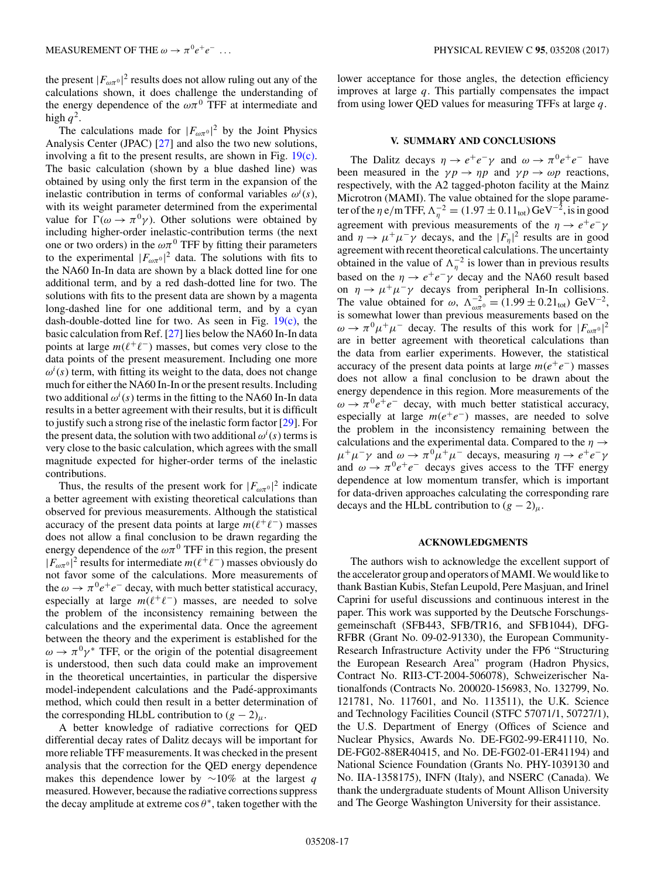the present  $|F_{\omega\pi^0}|^2$  results does not allow ruling out any of the calculations shown, it does challenge the understanding of the energy dependence of the  $\omega\pi^{0}$  TFF at intermediate and high  $q^2$ .

The calculations made for  $|F_{\omega\pi^0}|^2$  by the Joint Physics Analysis Center (JPAC) [\[27\]](#page-17-0) and also the two new solutions, involving a fit to the present results, are shown in Fig. [19\(c\).](#page-15-0) The basic calculation (shown by a blue dashed line) was obtained by using only the first term in the expansion of the inelastic contribution in terms of conformal variables  $\omega^{i}(s)$ , with its weight parameter determined from the experimental value for  $\Gamma(\omega \to \pi^0 \gamma)$ . Other solutions were obtained by including higher-order inelastic-contribution terms (the next one or two orders) in the  $\omega \pi^0$  TFF by fitting their parameters to the experimental  $|F_{\omega\pi^0}|^2$  data. The solutions with fits to the NA60 In-In data are shown by a black dotted line for one additional term, and by a red dash-dotted line for two. The solutions with fits to the present data are shown by a magenta long-dashed line for one additional term, and by a cyan dash-double-dotted line for two. As seen in Fig.  $19(c)$ , the basic calculation from Ref. [\[27\]](#page-17-0) lies below the NA60 In-In data points at large  $m(\ell^+\ell^-)$  masses, but comes very close to the data points of the present measurement. Including one more  $\omega^{i}(s)$  term, with fitting its weight to the data, does not change much for either the NA60 In-In or the present results. Including two additional  $\omega^i(s)$  terms in the fitting to the NA60 In-In data results in a better agreement with their results, but it is difficult to justify such a strong rise of the inelastic form factor [\[29\]](#page-17-0). For the present data, the solution with two additional  $\omega^{i}(s)$  terms is very close to the basic calculation, which agrees with the small magnitude expected for higher-order terms of the inelastic contributions.

Thus, the results of the present work for  $|F_{\omega\pi^0}|^2$  indicate a better agreement with existing theoretical calculations than observed for previous measurements. Although the statistical accuracy of the present data points at large  $m(\ell^+\ell^-)$  masses does not allow a final conclusion to be drawn regarding the energy dependence of the  $\omega \pi^0$  TFF in this region, the present  $|F_{\omega\pi^0}|^2$  results for intermediate  $m(\ell^+\ell^-)$  masses obviously do not favor some of the calculations. More measurements of the  $\omega \rightarrow \pi^0 e^+e^-$  decay, with much better statistical accuracy, especially at large  $m(\ell^+\ell^-)$  masses, are needed to solve the problem of the inconsistency remaining between the calculations and the experimental data. Once the agreement between the theory and the experiment is established for the  $\omega \rightarrow \pi^0 \gamma^*$  TFF, or the origin of the potential disagreement is understood, then such data could make an improvement in the theoretical uncertainties, in particular the dispersive model-independent calculations and the Pade-approximants ´ method, which could then result in a better determination of the corresponding HLbL contribution to  $(g - 2)_{\mu}$ .

A better knowledge of radiative corrections for QED differential decay rates of Dalitz decays will be important for more reliable TFF measurements. It was checked in the present analysis that the correction for the QED energy dependence makes this dependence lower by  $\sim$ 10% at the largest q measured. However, because the radiative corrections suppress the decay amplitude at extreme  $\cos \theta^*$ , taken together with the

lower acceptance for those angles, the detection efficiency improves at large  $q$ . This partially compensates the impact from using lower QED values for measuring TFFs at large  $q$ .

## **V. SUMMARY AND CONCLUSIONS**

The Dalitz decays  $\eta \to e^+e^-\gamma$  and  $\omega \to \pi^0e^+e^-$  have been measured in the  $\gamma p \to \eta p$  and  $\gamma p \to \omega p$  reactions, respectively, with the A2 tagged-photon facility at the Mainz Microtron (MAMI). The value obtained for the slope parameter of the  $\eta$  e/m TFF,  $\Lambda_{\eta}^{-2} = (1.97 \pm 0.11_{\text{tot}}) \text{GeV}^{-2}$ , is in good agreement with previous measurements of the  $\eta \rightarrow e^+e^-\gamma$ and  $\eta \to \mu^+ \mu^- \gamma$  decays, and the  $|F_\eta|^2$  results are in good agreement with recent theoretical calculations. The uncertainty obtained in the value of  $\Lambda_{\eta}^{-2}$  is lower than in previous results based on the  $\eta \rightarrow e^+e^-\gamma$  decay and the NA60 result based on  $\eta \to \mu^+\mu^-\gamma$  decays from peripheral In-In collisions. The value obtained for  $\omega$ ,  $\Lambda_{\omega\pi^0}^{-2} = (1.99 \pm 0.21_{\text{tot}}) \text{ GeV}^{-2}$ , is somewhat lower than previous measurements based on the  $\omega \to \pi^0 \mu^+ \mu^-$  decay. The results of this work for  $|F_{\omega \pi^0}|^2$ are in better agreement with theoretical calculations than the data from earlier experiments. However, the statistical accuracy of the present data points at large  $m(e^+e^-)$  masses does not allow a final conclusion to be drawn about the energy dependence in this region. More measurements of the  $\omega \rightarrow \pi^0 e^+e^-$  decay, with much better statistical accuracy, especially at large  $m(e^+e^-)$  masses, are needed to solve the problem in the inconsistency remaining between the calculations and the experimental data. Compared to the  $\eta \rightarrow$  $\mu^+\mu^-\gamma$  and  $\omega \to \pi^0\mu^+\mu^-$  decays, measuring  $\eta \to e^+e^-\gamma$ and  $\omega \rightarrow \pi^0 e^+e^-$  decays gives access to the TFF energy dependence at low momentum transfer, which is important for data-driven approaches calculating the corresponding rare decays and the HLbL contribution to  $(g - 2)_{\mu}$ .

### **ACKNOWLEDGMENTS**

The authors wish to acknowledge the excellent support of the accelerator group and operators of MAMI.We would like to thank Bastian Kubis, Stefan Leupold, Pere Masjuan, and Irinel Caprini for useful discussions and continuous interest in the paper. This work was supported by the Deutsche Forschungsgemeinschaft (SFB443, SFB/TR16, and SFB1044), DFG-RFBR (Grant No. 09-02-91330), the European Community-Research Infrastructure Activity under the FP6 "Structuring the European Research Area" program (Hadron Physics, Contract No. RII3-CT-2004-506078), Schweizerischer Nationalfonds (Contracts No. 200020-156983, No. 132799, No. 121781, No. 117601, and No. 113511), the U.K. Science and Technology Facilities Council (STFC 57071/1, 50727/1), the U.S. Department of Energy (Offices of Science and Nuclear Physics, Awards No. DE-FG02-99-ER41110, No. DE-FG02-88ER40415, and No. DE-FG02-01-ER41194) and National Science Foundation (Grants No. PHY-1039130 and No. IIA-1358175), INFN (Italy), and NSERC (Canada). We thank the undergraduate students of Mount Allison University and The George Washington University for their assistance.